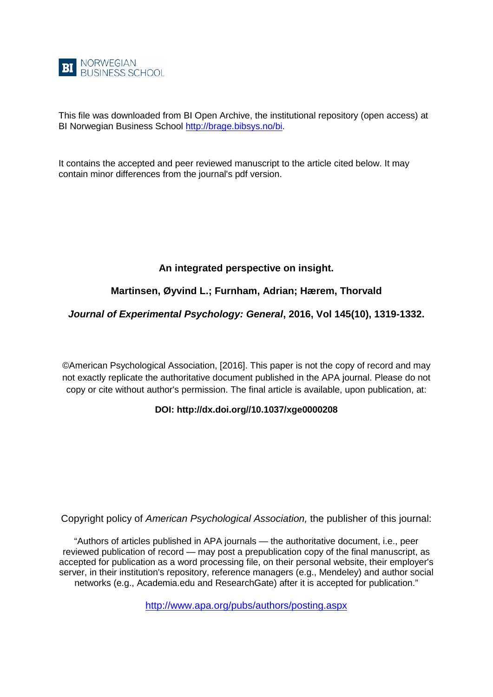

This file was downloaded from BI Open Archive, the institutional repository (open access) at BI Norwegian Business School [http://brage.bibsys.no/bi.](http://brage.bibsys.no/bi)

It contains the accepted and peer reviewed manuscript to the article cited below. It may contain minor differences from the journal's pdf version.

# **An integrated perspective on insight.**

# **Martinsen, Øyvind L.; Furnham, Adrian; Hærem, Thorvald**

# *Journal of Experimental Psychology: General***, 2016, Vol 145(10), 1319-1332.**

©American Psychological Association, [2016]. This paper is not the copy of record and may not exactly replicate the authoritative document published in the APA journal. Please do not copy or cite without author's permission. The final article is available, upon publication, at:

### **DOI: http://dx.doi.org//10.1037/xge0000208**

Copyright policy of *American Psychological Association,* the publisher of this journal:

"Authors of articles published in APA journals — the authoritative document, i.e., peer reviewed publication of record — may post a prepublication copy of the final manuscript, as accepted for publication as a word processing file, on their personal website, their employer's server, in their institution's repository, reference managers (e.g., Mendeley) and author social networks (e.g., Academia.edu and ResearchGate) after it is accepted for publication."

<http://www.apa.org/pubs/authors/posting.aspx>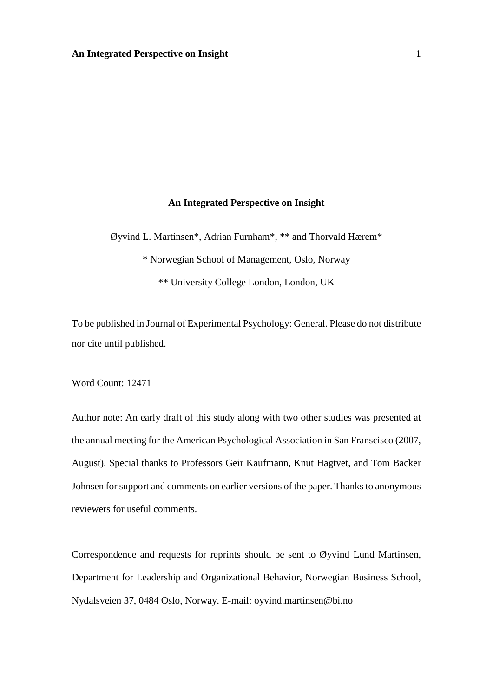Øyvind L. Martinsen\*, Adrian Furnham\*, \*\* and Thorvald Hærem\*

\* Norwegian School of Management, Oslo, Norway

\*\* University College London, London, UK

To be published in Journal of Experimental Psychology: General. Please do not distribute nor cite until published.

Word Count: 12471

Author note: An early draft of this study along with two other studies was presented at the annual meeting for the American Psychological Association in San Franscisco (2007, August). Special thanks to Professors Geir Kaufmann, Knut Hagtvet, and Tom Backer Johnsen for support and comments on earlier versions of the paper. Thanks to anonymous reviewers for useful comments.

Correspondence and requests for reprints should be sent to Øyvind Lund Martinsen, Department for Leadership and Organizational Behavior, Norwegian Business School, Nydalsveien 37, 0484 Oslo, Norway. E-mail: oyvind.martinsen@bi.no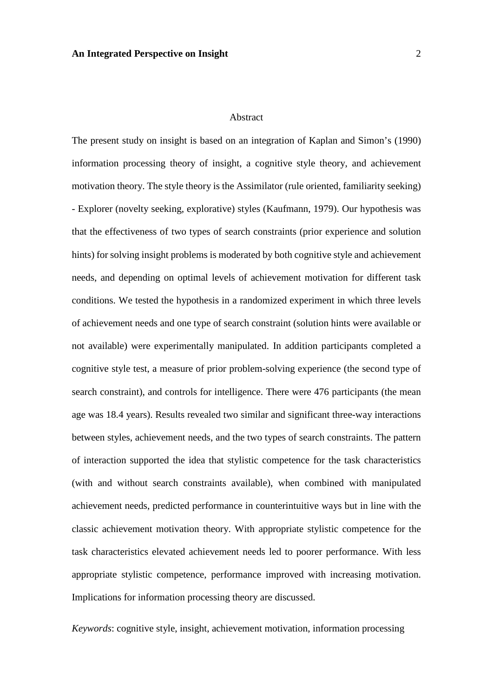#### Abstract

The present study on insight is based on an integration of Kaplan and Simon's (1990) information processing theory of insight, a cognitive style theory, and achievement motivation theory. The style theory is the Assimilator (rule oriented, familiarity seeking) - Explorer (novelty seeking, explorative) styles (Kaufmann, 1979). Our hypothesis was that the effectiveness of two types of search constraints (prior experience and solution hints) for solving insight problems is moderated by both cognitive style and achievement needs, and depending on optimal levels of achievement motivation for different task conditions. We tested the hypothesis in a randomized experiment in which three levels of achievement needs and one type of search constraint (solution hints were available or not available) were experimentally manipulated. In addition participants completed a cognitive style test, a measure of prior problem-solving experience (the second type of search constraint), and controls for intelligence. There were 476 participants (the mean age was 18.4 years). Results revealed two similar and significant three-way interactions between styles, achievement needs, and the two types of search constraints. The pattern of interaction supported the idea that stylistic competence for the task characteristics (with and without search constraints available), when combined with manipulated achievement needs, predicted performance in counterintuitive ways but in line with the classic achievement motivation theory. With appropriate stylistic competence for the task characteristics elevated achievement needs led to poorer performance. With less appropriate stylistic competence, performance improved with increasing motivation. Implications for information processing theory are discussed.

*Keywords*: cognitive style, insight, achievement motivation, information processing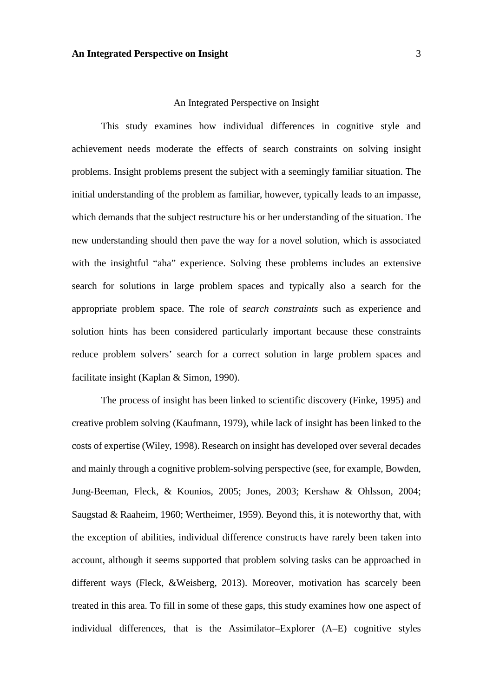This study examines how individual differences in cognitive style and achievement needs moderate the effects of search constraints on solving insight problems. Insight problems present the subject with a seemingly familiar situation. The initial understanding of the problem as familiar, however, typically leads to an impasse, which demands that the subject restructure his or her understanding of the situation. The new understanding should then pave the way for a novel solution, which is associated with the insightful "aha" experience. Solving these problems includes an extensive search for solutions in large problem spaces and typically also a search for the appropriate problem space. The role of *search constraints* such as experience and solution hints has been considered particularly important because these constraints reduce problem solvers' search for a correct solution in large problem spaces and facilitate insight (Kaplan & Simon, 1990).

The process of insight has been linked to scientific discovery (Finke, 1995) and creative problem solving (Kaufmann, 1979), while lack of insight has been linked to the costs of expertise (Wiley, 1998). Research on insight has developed over several decades and mainly through a cognitive problem-solving perspective (see, for example, Bowden, Jung-Beeman, Fleck, & Kounios, 2005; Jones, 2003; Kershaw & Ohlsson, 2004; Saugstad & Raaheim, 1960; Wertheimer, 1959). Beyond this, it is noteworthy that, with the exception of abilities, individual difference constructs have rarely been taken into account, although it seems supported that problem solving tasks can be approached in different ways (Fleck, &Weisberg, 2013). Moreover, motivation has scarcely been treated in this area. To fill in some of these gaps, this study examines how one aspect of individual differences, that is the Assimilator–Explorer (A–E) cognitive styles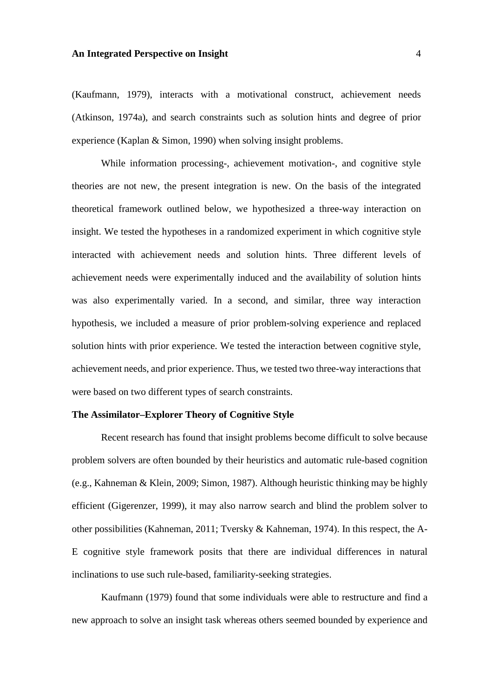(Kaufmann, 1979), interacts with a motivational construct, achievement needs (Atkinson, 1974a), and search constraints such as solution hints and degree of prior experience (Kaplan & Simon, 1990) when solving insight problems.

While information processing-, achievement motivation-, and cognitive style theories are not new, the present integration is new. On the basis of the integrated theoretical framework outlined below, we hypothesized a three-way interaction on insight. We tested the hypotheses in a randomized experiment in which cognitive style interacted with achievement needs and solution hints. Three different levels of achievement needs were experimentally induced and the availability of solution hints was also experimentally varied. In a second, and similar, three way interaction hypothesis, we included a measure of prior problem-solving experience and replaced solution hints with prior experience. We tested the interaction between cognitive style, achievement needs, and prior experience. Thus, we tested two three-way interactions that were based on two different types of search constraints.

## **The Assimilator–Explorer Theory of Cognitive Style**

Recent research has found that insight problems become difficult to solve because problem solvers are often bounded by their heuristics and automatic rule-based cognition (e.g., Kahneman & Klein, 2009; Simon, 1987). Although heuristic thinking may be highly efficient (Gigerenzer, 1999), it may also narrow search and blind the problem solver to other possibilities (Kahneman, 2011; Tversky & Kahneman, 1974). In this respect, the A-E cognitive style framework posits that there are individual differences in natural inclinations to use such rule-based, familiarity-seeking strategies.

Kaufmann (1979) found that some individuals were able to restructure and find a new approach to solve an insight task whereas others seemed bounded by experience and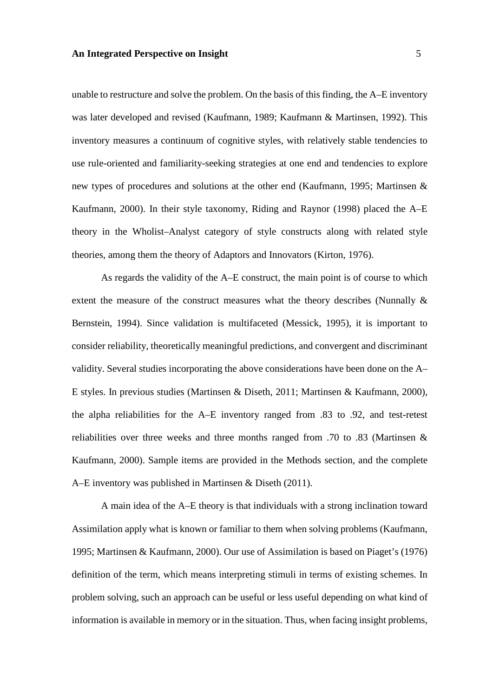unable to restructure and solve the problem. On the basis of this finding, the A–E inventory was later developed and revised (Kaufmann, 1989; Kaufmann & Martinsen, 1992). This inventory measures a continuum of cognitive styles, with relatively stable tendencies to use rule-oriented and familiarity-seeking strategies at one end and tendencies to explore new types of procedures and solutions at the other end (Kaufmann, 1995; Martinsen & Kaufmann, 2000). In their style taxonomy, Riding and Raynor (1998) placed the A–E theory in the Wholist–Analyst category of style constructs along with related style theories, among them the theory of Adaptors and Innovators (Kirton, 1976).

As regards the validity of the A–E construct, the main point is of course to which extent the measure of the construct measures what the theory describes (Nunnally & Bernstein, 1994). Since validation is multifaceted (Messick, 1995), it is important to consider reliability, theoretically meaningful predictions, and convergent and discriminant validity. Several studies incorporating the above considerations have been done on the A– E styles. In previous studies (Martinsen & Diseth, 2011; Martinsen & Kaufmann, 2000), the alpha reliabilities for the A–E inventory ranged from .83 to .92, and test-retest reliabilities over three weeks and three months ranged from .70 to .83 (Martinsen & Kaufmann, 2000). Sample items are provided in the Methods section, and the complete A–E inventory was published in Martinsen & Diseth (2011).

A main idea of the A–E theory is that individuals with a strong inclination toward Assimilation apply what is known or familiar to them when solving problems (Kaufmann, 1995; Martinsen & Kaufmann, 2000). Our use of Assimilation is based on Piaget's (1976) definition of the term, which means interpreting stimuli in terms of existing schemes. In problem solving, such an approach can be useful or less useful depending on what kind of information is available in memory or in the situation. Thus, when facing insight problems,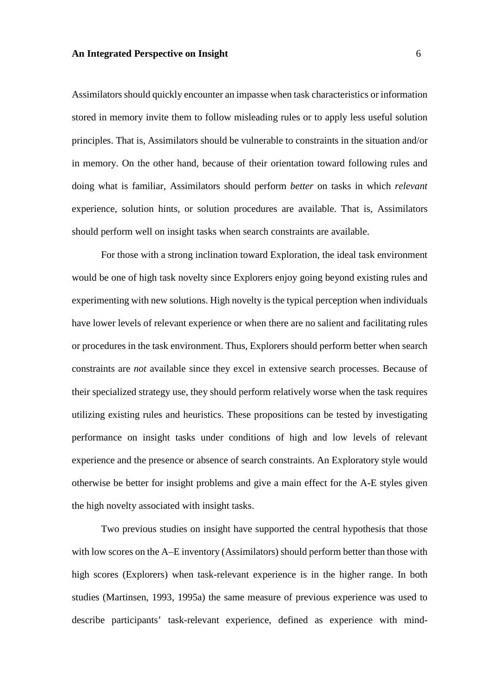Assimilators should quickly encounter an impasse when task characteristics or information stored in memory invite them to follow misleading rules or to apply less useful solution principles. That is, Assimilators should be vulnerable to constraints in the situation and/or in memory. On the other hand, because of their orientation toward following rules and doing what is familiar, Assimilators should perform *better* on tasks in which *relevant* experience, solution hints, or solution procedures are available. That is, Assimilators should perform well on insight tasks when search constraints are available.

For those with a strong inclination toward Exploration, the ideal task environment would be one of high task novelty since Explorers enjoy going beyond existing rules and experimenting with new solutions. High novelty is the typical perception when individuals have lower levels of relevant experience or when there are no salient and facilitating rules or procedures in the task environment. Thus, Explorers should perform better when search constraints are *not* available since they excel in extensive search processes. Because of their specialized strategy use, they should perform relatively worse when the task requires utilizing existing rules and heuristics. These propositions can be tested by investigating performance on insight tasks under conditions of high and low levels of relevant experience and the presence or absence of search constraints. An Exploratory style would otherwise be better for insight problems and give a main effect for the A-E styles given the high novelty associated with insight tasks.

Two previous studies on insight have supported the central hypothesis that those with low scores on the A–E inventory (Assimilators) should perform better than those with high scores (Explorers) when task-relevant experience is in the higher range. In both studies (Martinsen, 1993, 1995a) the same measure of previous experience was used to describe participants' task-relevant experience, defined as experience with mind-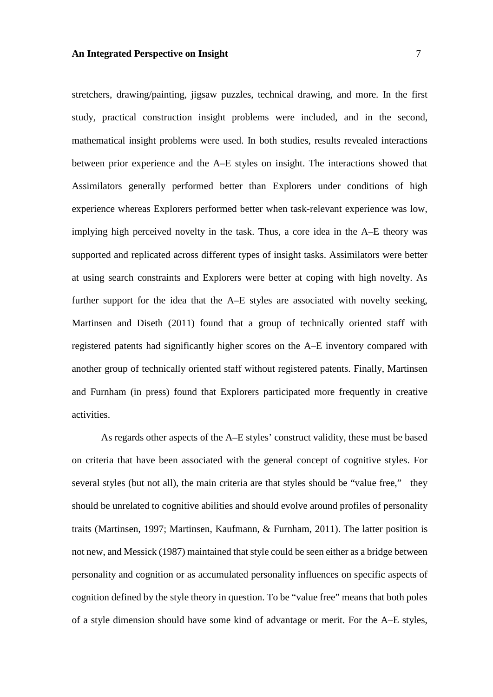stretchers, drawing/painting, jigsaw puzzles, technical drawing, and more. In the first study, practical construction insight problems were included, and in the second, mathematical insight problems were used. In both studies, results revealed interactions between prior experience and the A–E styles on insight. The interactions showed that Assimilators generally performed better than Explorers under conditions of high experience whereas Explorers performed better when task-relevant experience was low, implying high perceived novelty in the task. Thus, a core idea in the A–E theory was supported and replicated across different types of insight tasks. Assimilators were better at using search constraints and Explorers were better at coping with high novelty. As further support for the idea that the A–E styles are associated with novelty seeking, Martinsen and Diseth (2011) found that a group of technically oriented staff with registered patents had significantly higher scores on the A–E inventory compared with another group of technically oriented staff without registered patents. Finally, Martinsen and Furnham (in press) found that Explorers participated more frequently in creative activities.

As regards other aspects of the A–E styles' construct validity, these must be based on criteria that have been associated with the general concept of cognitive styles. For several styles (but not all), the main criteria are that styles should be "value free," they should be unrelated to cognitive abilities and should evolve around profiles of personality traits (Martinsen, 1997; Martinsen, Kaufmann, & Furnham, 2011). The latter position is not new, and Messick (1987) maintained that style could be seen either as a bridge between personality and cognition or as accumulated personality influences on specific aspects of cognition defined by the style theory in question. To be "value free" means that both poles of a style dimension should have some kind of advantage or merit. For the A–E styles,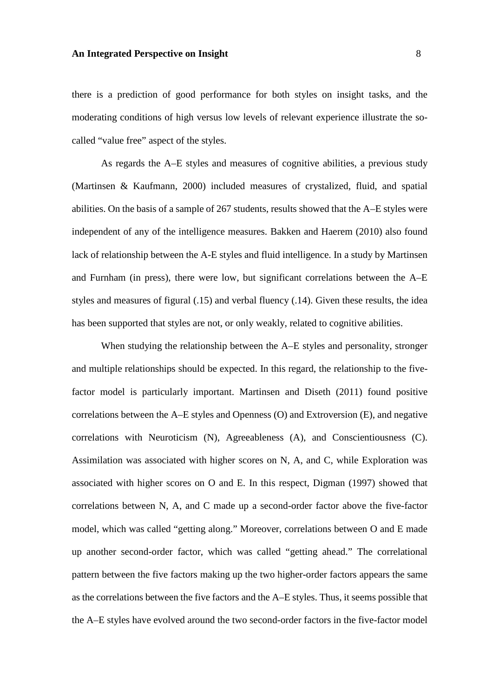there is a prediction of good performance for both styles on insight tasks, and the moderating conditions of high versus low levels of relevant experience illustrate the socalled "value free" aspect of the styles.

As regards the A–E styles and measures of cognitive abilities, a previous study (Martinsen & Kaufmann, 2000) included measures of crystalized, fluid, and spatial abilities. On the basis of a sample of 267 students, results showed that the A–E styles were independent of any of the intelligence measures. Bakken and Haerem (2010) also found lack of relationship between the A-E styles and fluid intelligence. In a study by Martinsen and Furnham (in press), there were low, but significant correlations between the A–E styles and measures of figural (.15) and verbal fluency (.14). Given these results, the idea has been supported that styles are not, or only weakly, related to cognitive abilities.

When studying the relationship between the A–E styles and personality, stronger and multiple relationships should be expected. In this regard, the relationship to the fivefactor model is particularly important. Martinsen and Diseth (2011) found positive correlations between the A–E styles and Openness (O) and Extroversion (E), and negative correlations with Neuroticism (N), Agreeableness (A), and Conscientiousness (C). Assimilation was associated with higher scores on N, A, and C, while Exploration was associated with higher scores on O and E. In this respect, Digman (1997) showed that correlations between N, A, and C made up a second-order factor above the five-factor model, which was called "getting along." Moreover, correlations between O and E made up another second-order factor, which was called "getting ahead." The correlational pattern between the five factors making up the two higher-order factors appears the same as the correlations between the five factors and the A–E styles. Thus, it seems possible that the A–E styles have evolved around the two second-order factors in the five-factor model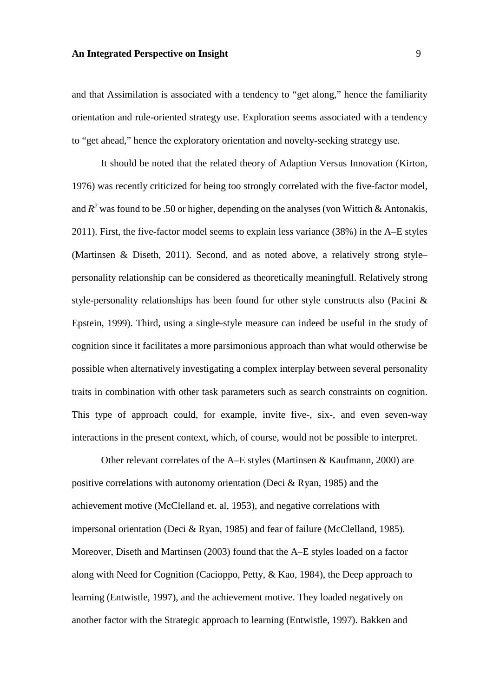#### **An Integrated Perspective on Insight**  $\frac{9}{9}$

and that Assimilation is associated with a tendency to "get along," hence the familiarity orientation and rule-oriented strategy use. Exploration seems associated with a tendency to "get ahead," hence the exploratory orientation and novelty-seeking strategy use.

It should be noted that the related theory of Adaption Versus Innovation (Kirton, 1976) was recently criticized for being too strongly correlated with the five-factor model, and  $R^2$  was found to be .50 or higher, depending on the analyses (von Wittich & Antonakis, 2011). First, the five-factor model seems to explain less variance (38%) in the A–E styles (Martinsen & Diseth, 2011). Second, and as noted above, a relatively strong style– personality relationship can be considered as theoretically meaningfull. Relatively strong style-personality relationships has been found for other style constructs also (Pacini & Epstein, 1999). Third, using a single-style measure can indeed be useful in the study of cognition since it facilitates a more parsimonious approach than what would otherwise be possible when alternatively investigating a complex interplay between several personality traits in combination with other task parameters such as search constraints on cognition. This type of approach could, for example, invite five-, six-, and even seven-way interactions in the present context, which, of course, would not be possible to interpret.

Other relevant correlates of the A–E styles (Martinsen & Kaufmann, 2000) are positive correlations with autonomy orientation (Deci & Ryan, 1985) and the achievement motive (McClelland et. al, 1953), and negative correlations with impersonal orientation (Deci & Ryan, 1985) and fear of failure (McClelland, 1985). Moreover, Diseth and Martinsen (2003) found that the A–E styles loaded on a factor along with Need for Cognition (Cacioppo, Petty, & Kao, 1984), the Deep approach to learning (Entwistle, 1997), and the achievement motive. They loaded negatively on another factor with the Strategic approach to learning (Entwistle, 1997). Bakken and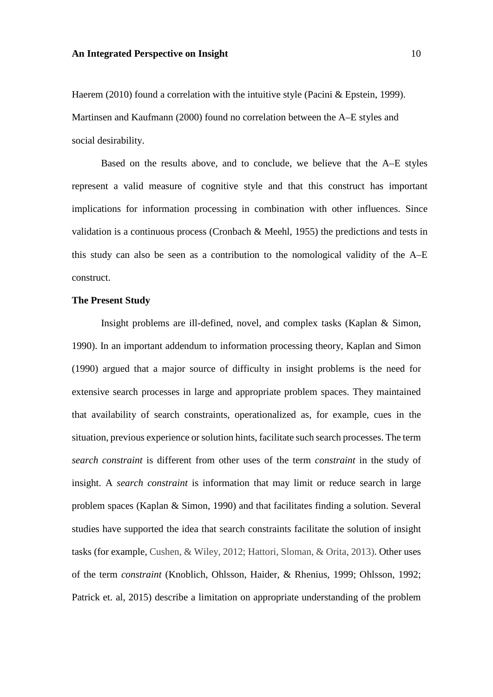Haerem (2010) found a correlation with the intuitive style (Pacini & Epstein, 1999). Martinsen and Kaufmann (2000) found no correlation between the A–E styles and social desirability.

Based on the results above, and to conclude, we believe that the A–E styles represent a valid measure of cognitive style and that this construct has important implications for information processing in combination with other influences. Since validation is a continuous process (Cronbach & Meehl, 1955) the predictions and tests in this study can also be seen as a contribution to the nomological validity of the A–E construct.

#### **The Present Study**

Insight problems are ill-defined, novel, and complex tasks (Kaplan & Simon, 1990). In an important addendum to information processing theory, Kaplan and Simon (1990) argued that a major source of difficulty in insight problems is the need for extensive search processes in large and appropriate problem spaces. They maintained that availability of search constraints, operationalized as, for example, cues in the situation, previous experience orsolution hints, facilitate such search processes. The term *search constraint* is different from other uses of the term *constraint* in the study of insight. A *search constraint* is information that may limit or reduce search in large problem spaces (Kaplan & Simon, 1990) and that facilitates finding a solution. Several studies have supported the idea that search constraints facilitate the solution of insight tasks (for example, Cushen, & Wiley, 2012; Hattori, Sloman, & Orita, 2013). Other uses of the term *constraint* (Knoblich, Ohlsson, Haider, & Rhenius, 1999; Ohlsson, 1992; Patrick et. al, 2015) describe a limitation on appropriate understanding of the problem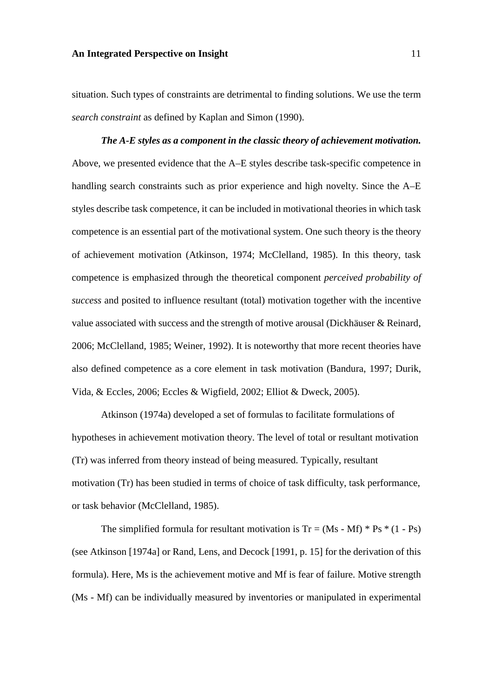situation. Such types of constraints are detrimental to finding solutions. We use the term *search constraint* as defined by Kaplan and Simon (1990).

*The A-E styles as a component in the classic theory of achievement motivation.* Above, we presented evidence that the A–E styles describe task-specific competence in handling search constraints such as prior experience and high novelty. Since the A–E styles describe task competence, it can be included in motivational theories in which task competence is an essential part of the motivational system. One such theory is the theory of achievement motivation (Atkinson, 1974; McClelland, 1985). In this theory, task competence is emphasized through the theoretical component *perceived probability of success* and posited to influence resultant (total) motivation together with the incentive value associated with success and the strength of motive arousal (Dickhäuser & Reinard, 2006; McClelland, 1985; Weiner, 1992). It is noteworthy that more recent theories have also defined competence as a core element in task motivation (Bandura, 1997; Durik, Vida, & Eccles, 2006; Eccles & Wigfield, 2002; Elliot & Dweck, 2005).

Atkinson (1974a) developed a set of formulas to facilitate formulations of hypotheses in achievement motivation theory. The level of total or resultant motivation (Tr) was inferred from theory instead of being measured. Typically, resultant motivation (Tr) has been studied in terms of choice of task difficulty, task performance, or task behavior (McClelland, 1985).

The simplified formula for resultant motivation is  $Tr = (Ms - Mf) * Ps * (1 - Ps)$ (see Atkinson [1974a] or Rand, Lens, and Decock [1991, p. 15] for the derivation of this formula). Here, Ms is the achievement motive and Mf is fear of failure. Motive strength (Ms - Mf) can be individually measured by inventories or manipulated in experimental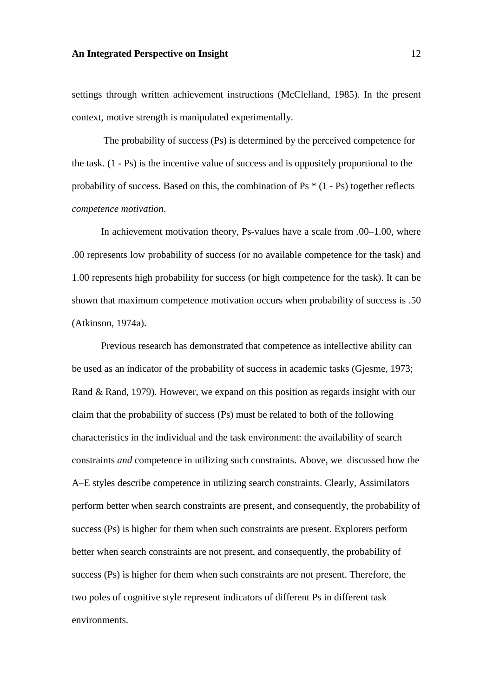settings through written achievement instructions (McClelland, 1985). In the present context, motive strength is manipulated experimentally.

The probability of success (Ps) is determined by the perceived competence for the task. (1 - Ps) is the incentive value of success and is oppositely proportional to the probability of success. Based on this, the combination of Ps \* (1 - Ps) together reflects *competence motivation*.

In achievement motivation theory, Ps-values have a scale from .00–1.00, where .00 represents low probability of success (or no available competence for the task) and 1.00 represents high probability for success (or high competence for the task). It can be shown that maximum competence motivation occurs when probability of success is .50 (Atkinson, 1974a).

Previous research has demonstrated that competence as intellective ability can be used as an indicator of the probability of success in academic tasks (Gjesme, 1973; Rand & Rand, 1979). However, we expand on this position as regards insight with our claim that the probability of success (Ps) must be related to both of the following characteristics in the individual and the task environment: the availability of search constraints *and* competence in utilizing such constraints. Above, we discussed how the A–E styles describe competence in utilizing search constraints. Clearly, Assimilators perform better when search constraints are present, and consequently, the probability of success (Ps) is higher for them when such constraints are present. Explorers perform better when search constraints are not present, and consequently, the probability of success (Ps) is higher for them when such constraints are not present. Therefore, the two poles of cognitive style represent indicators of different Ps in different task environments.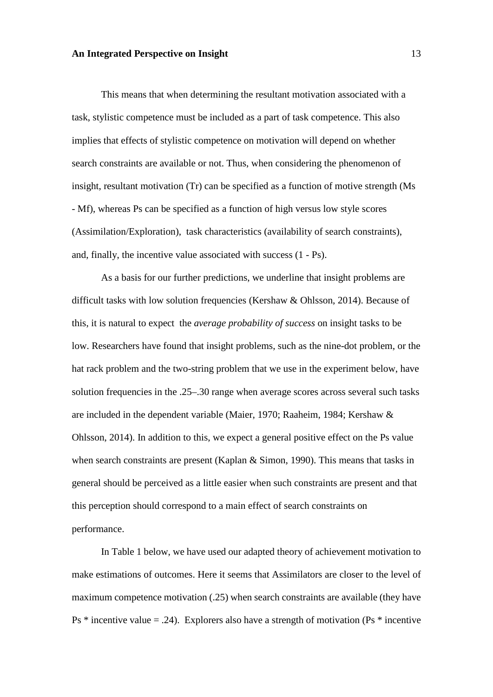This means that when determining the resultant motivation associated with a task, stylistic competence must be included as a part of task competence. This also implies that effects of stylistic competence on motivation will depend on whether search constraints are available or not. Thus, when considering the phenomenon of insight, resultant motivation (Tr) can be specified as a function of motive strength (Ms - Mf), whereas Ps can be specified as a function of high versus low style scores (Assimilation/Exploration), task characteristics (availability of search constraints), and, finally, the incentive value associated with success (1 - Ps).

As a basis for our further predictions, we underline that insight problems are difficult tasks with low solution frequencies (Kershaw & Ohlsson, 2014). Because of this, it is natural to expect the *average probability of success* on insight tasks to be low. Researchers have found that insight problems, such as the nine-dot problem, or the hat rack problem and the two-string problem that we use in the experiment below, have solution frequencies in the .25–.30 range when average scores across several such tasks are included in the dependent variable (Maier, 1970; Raaheim, 1984; Kershaw & Ohlsson, 2014). In addition to this, we expect a general positive effect on the Ps value when search constraints are present (Kaplan & Simon, 1990). This means that tasks in general should be perceived as a little easier when such constraints are present and that this perception should correspond to a main effect of search constraints on performance.

In Table 1 below, we have used our adapted theory of achievement motivation to make estimations of outcomes. Here it seems that Assimilators are closer to the level of maximum competence motivation (.25) when search constraints are available (they have Ps  $*$  incentive value = .24). Explorers also have a strength of motivation (Ps  $*$  incentive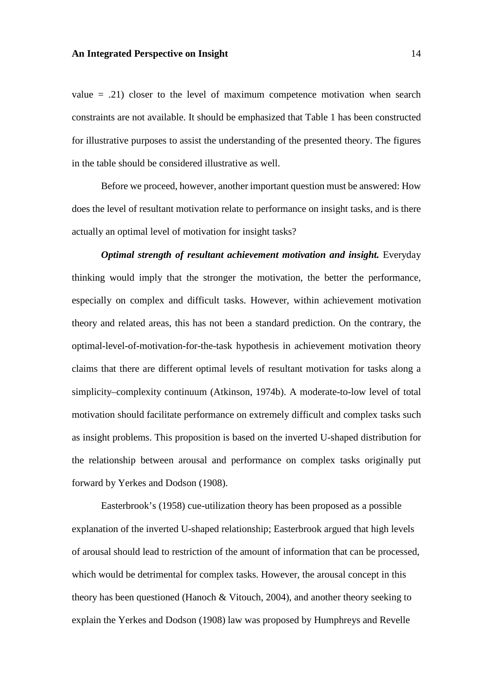value  $=$  .21) closer to the level of maximum competence motivation when search constraints are not available. It should be emphasized that Table 1 has been constructed for illustrative purposes to assist the understanding of the presented theory. The figures in the table should be considered illustrative as well.

Before we proceed, however, another important question must be answered: How does the level of resultant motivation relate to performance on insight tasks, and is there actually an optimal level of motivation for insight tasks?

*Optimal strength of resultant achievement motivation and insight.* Everyday thinking would imply that the stronger the motivation, the better the performance, especially on complex and difficult tasks. However, within achievement motivation theory and related areas, this has not been a standard prediction. On the contrary, the optimal-level-of-motivation-for-the-task hypothesis in achievement motivation theory claims that there are different optimal levels of resultant motivation for tasks along a simplicity–complexity continuum (Atkinson, 1974b). A moderate-to-low level of total motivation should facilitate performance on extremely difficult and complex tasks such as insight problems. This proposition is based on the inverted U-shaped distribution for the relationship between arousal and performance on complex tasks originally put forward by Yerkes and Dodson (1908).

Easterbrook's (1958) cue-utilization theory has been proposed as a possible explanation of the inverted U-shaped relationship; Easterbrook argued that high levels of arousal should lead to restriction of the amount of information that can be processed, which would be detrimental for complex tasks. However, the arousal concept in this theory has been questioned (Hanoch & Vitouch, 2004), and another theory seeking to explain the Yerkes and Dodson (1908) law was proposed by Humphreys and Revelle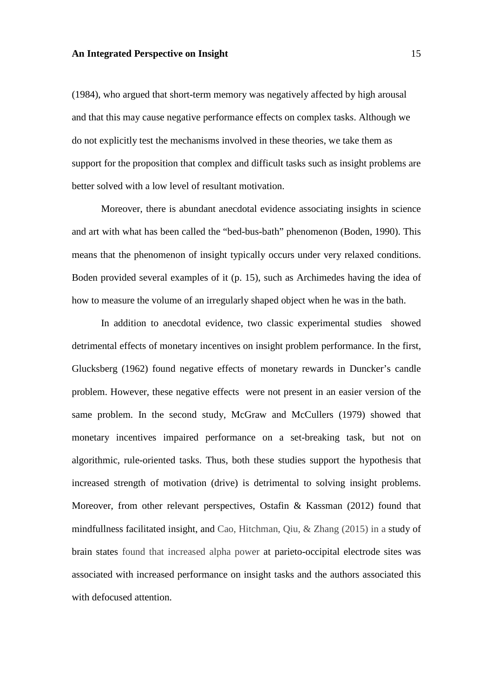(1984), who argued that short-term memory was negatively affected by high arousal and that this may cause negative performance effects on complex tasks. Although we do not explicitly test the mechanisms involved in these theories, we take them as support for the proposition that complex and difficult tasks such as insight problems are better solved with a low level of resultant motivation.

Moreover, there is abundant anecdotal evidence associating insights in science and art with what has been called the "bed-bus-bath" phenomenon (Boden, 1990). This means that the phenomenon of insight typically occurs under very relaxed conditions. Boden provided several examples of it (p. 15), such as Archimedes having the idea of how to measure the volume of an irregularly shaped object when he was in the bath.

In addition to anecdotal evidence, two classic experimental studies showed detrimental effects of monetary incentives on insight problem performance. In the first, Glucksberg (1962) found negative effects of monetary rewards in Duncker's candle problem. However, these negative effects were not present in an easier version of the same problem. In the second study, McGraw and McCullers (1979) showed that monetary incentives impaired performance on a set-breaking task, but not on algorithmic, rule-oriented tasks. Thus, both these studies support the hypothesis that increased strength of motivation (drive) is detrimental to solving insight problems. Moreover, from other relevant perspectives, Ostafin & Kassman (2012) found that mindfullness facilitated insight, and Cao, Hitchman, Qiu, & Zhang (2015) in a study of brain states found that increased alpha power at parieto-occipital electrode sites was associated with increased performance on insight tasks and the authors associated this with defocused attention.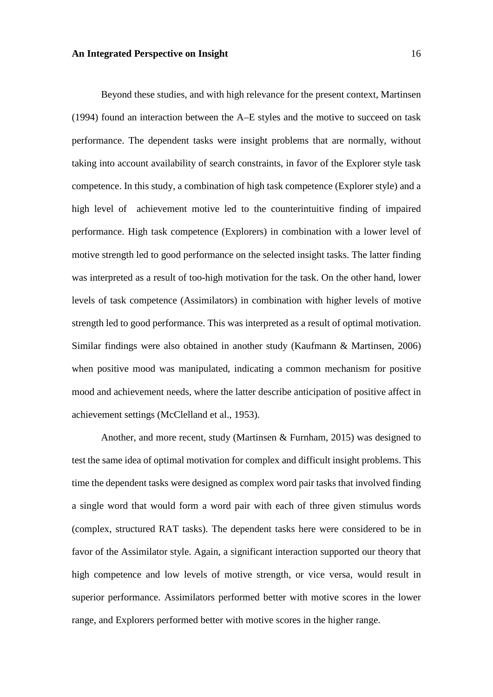Beyond these studies, and with high relevance for the present context, Martinsen (1994) found an interaction between the A–E styles and the motive to succeed on task performance. The dependent tasks were insight problems that are normally, without taking into account availability of search constraints, in favor of the Explorer style task competence. In this study, a combination of high task competence (Explorer style) and a high level of achievement motive led to the counterintuitive finding of impaired performance. High task competence (Explorers) in combination with a lower level of motive strength led to good performance on the selected insight tasks. The latter finding was interpreted as a result of too-high motivation for the task. On the other hand, lower levels of task competence (Assimilators) in combination with higher levels of motive strength led to good performance. This was interpreted as a result of optimal motivation. Similar findings were also obtained in another study (Kaufmann & Martinsen, 2006) when positive mood was manipulated, indicating a common mechanism for positive mood and achievement needs, where the latter describe anticipation of positive affect in achievement settings (McClelland et al., 1953).

Another, and more recent, study (Martinsen & Furnham, 2015) was designed to test the same idea of optimal motivation for complex and difficult insight problems. This time the dependent tasks were designed as complex word pair tasks that involved finding a single word that would form a word pair with each of three given stimulus words (complex, structured RAT tasks). The dependent tasks here were considered to be in favor of the Assimilator style. Again, a significant interaction supported our theory that high competence and low levels of motive strength, or vice versa, would result in superior performance. Assimilators performed better with motive scores in the lower range, and Explorers performed better with motive scores in the higher range.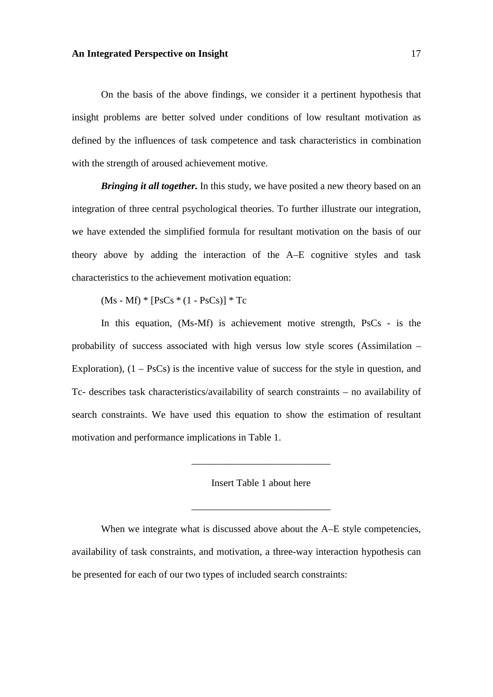On the basis of the above findings, we consider it a pertinent hypothesis that insight problems are better solved under conditions of low resultant motivation as defined by the influences of task competence and task characteristics in combination with the strength of aroused achievement motive.

*Bringing it all together.* In this study, we have posited a new theory based on an integration of three central psychological theories. To further illustrate our integration, we have extended the simplified formula for resultant motivation on the basis of our theory above by adding the interaction of the A–E cognitive styles and task characteristics to the achievement motivation equation:

 $(Ms - Mf) * [PsCs * (1 - PsCs)] * Tc$ 

In this equation, (Ms-Mf) is achievement motive strength, PsCs - is the probability of success associated with high versus low style scores (Assimilation – Exploration),  $(1 - \text{PsCs})$  is the incentive value of success for the style in question, and Tc- describes task characteristics/availability of search constraints – no availability of search constraints. We have used this equation to show the estimation of resultant motivation and performance implications in Table 1.

Insert Table 1 about here

\_\_\_\_\_\_\_\_\_\_\_\_\_\_\_\_\_\_\_\_\_\_\_\_\_\_\_\_

\_\_\_\_\_\_\_\_\_\_\_\_\_\_\_\_\_\_\_\_\_\_\_\_\_\_\_\_

When we integrate what is discussed above about the A–E style competencies, availability of task constraints, and motivation, a three-way interaction hypothesis can be presented for each of our two types of included search constraints: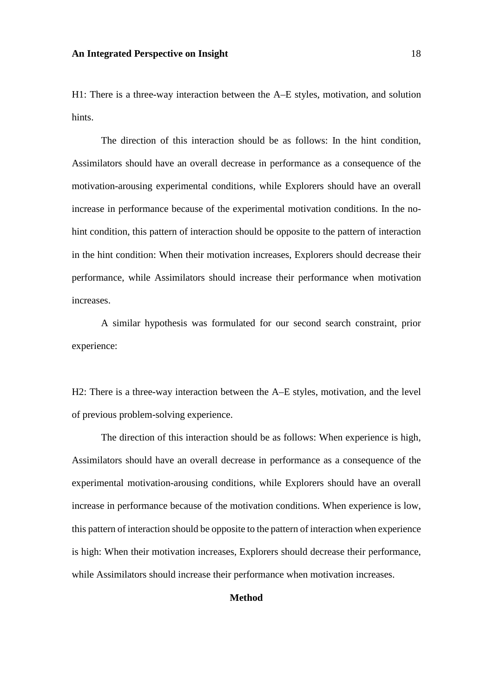H1: There is a three-way interaction between the A–E styles, motivation, and solution hints.

The direction of this interaction should be as follows: In the hint condition, Assimilators should have an overall decrease in performance as a consequence of the motivation-arousing experimental conditions, while Explorers should have an overall increase in performance because of the experimental motivation conditions. In the nohint condition, this pattern of interaction should be opposite to the pattern of interaction in the hint condition: When their motivation increases, Explorers should decrease their performance, while Assimilators should increase their performance when motivation increases.

A similar hypothesis was formulated for our second search constraint, prior experience:

H2: There is a three-way interaction between the A–E styles, motivation, and the level of previous problem-solving experience.

The direction of this interaction should be as follows: When experience is high, Assimilators should have an overall decrease in performance as a consequence of the experimental motivation-arousing conditions, while Explorers should have an overall increase in performance because of the motivation conditions. When experience is low, this pattern of interaction should be opposite to the pattern of interaction when experience is high: When their motivation increases, Explorers should decrease their performance, while Assimilators should increase their performance when motivation increases.

## **Method**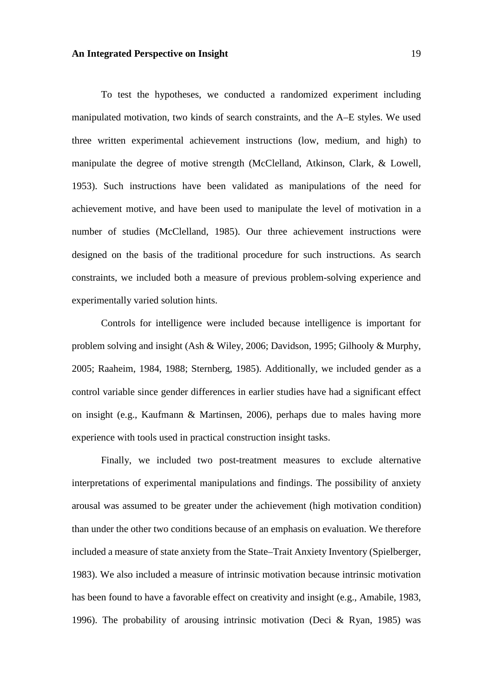To test the hypotheses, we conducted a randomized experiment including manipulated motivation, two kinds of search constraints, and the A–E styles. We used three written experimental achievement instructions (low, medium, and high) to manipulate the degree of motive strength (McClelland, Atkinson, Clark, & Lowell, 1953). Such instructions have been validated as manipulations of the need for achievement motive, and have been used to manipulate the level of motivation in a number of studies (McClelland, 1985). Our three achievement instructions were designed on the basis of the traditional procedure for such instructions. As search constraints, we included both a measure of previous problem-solving experience and experimentally varied solution hints.

Controls for intelligence were included because intelligence is important for problem solving and insight (Ash & Wiley, 2006; Davidson, 1995; Gilhooly & Murphy, 2005; Raaheim, 1984, 1988; Sternberg, 1985). Additionally, we included gender as a control variable since gender differences in earlier studies have had a significant effect on insight (e.g., Kaufmann & Martinsen, 2006), perhaps due to males having more experience with tools used in practical construction insight tasks.

Finally, we included two post-treatment measures to exclude alternative interpretations of experimental manipulations and findings. The possibility of anxiety arousal was assumed to be greater under the achievement (high motivation condition) than under the other two conditions because of an emphasis on evaluation. We therefore included a measure of state anxiety from the State–Trait Anxiety Inventory (Spielberger, 1983). We also included a measure of intrinsic motivation because intrinsic motivation has been found to have a favorable effect on creativity and insight (e.g., Amabile, 1983, 1996). The probability of arousing intrinsic motivation (Deci & Ryan, 1985) was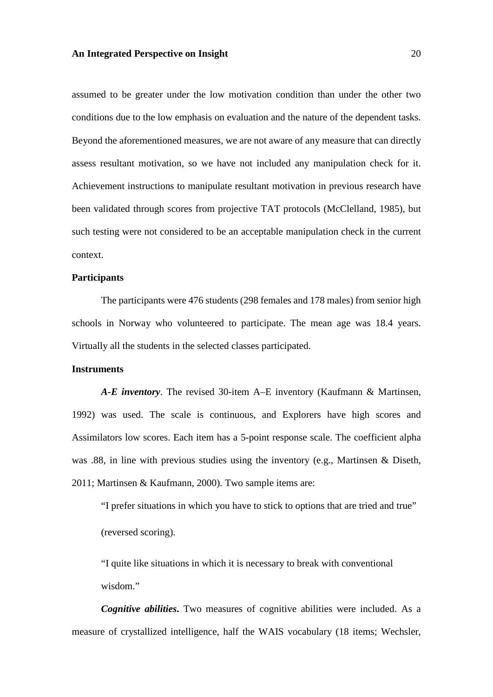assumed to be greater under the low motivation condition than under the other two conditions due to the low emphasis on evaluation and the nature of the dependent tasks. Beyond the aforementioned measures, we are not aware of any measure that can directly assess resultant motivation, so we have not included any manipulation check for it. Achievement instructions to manipulate resultant motivation in previous research have been validated through scores from projective TAT protocols (McClelland, 1985), but such testing were not considered to be an acceptable manipulation check in the current context.

#### **Participants**

The participants were 476 students (298 females and 178 males) from senior high schools in Norway who volunteered to participate. The mean age was 18.4 years. Virtually all the students in the selected classes participated.

#### **Instruments**

*A-E inventory*. The revised 30-item A–E inventory (Kaufmann & Martinsen, 1992) was used. The scale is continuous, and Explorers have high scores and Assimilators low scores. Each item has a 5-point response scale. The coefficient alpha was .88, in line with previous studies using the inventory (e.g., Martinsen & Diseth, 2011; Martinsen & Kaufmann, 2000). Two sample items are:

"I prefer situations in which you have to stick to options that are tried and true" (reversed scoring).

"I quite like situations in which it is necessary to break with conventional wisdom."

*Cognitive abilities***.** Two measures of cognitive abilities were included. As a measure of crystallized intelligence, half the WAIS vocabulary (18 items; Wechsler,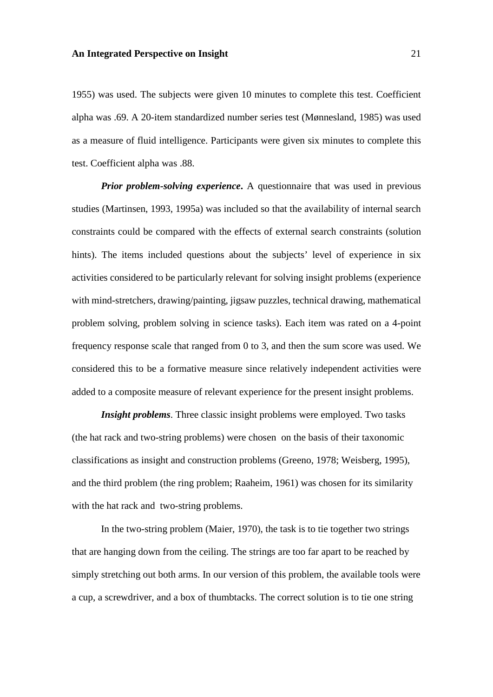1955) was used. The subjects were given 10 minutes to complete this test. Coefficient alpha was .69. A 20-item standardized number series test (Mønnesland, 1985) was used as a measure of fluid intelligence. Participants were given six minutes to complete this test. Coefficient alpha was .88.

*Prior problem-solving experience*. A questionnaire that was used in previous studies (Martinsen, 1993, 1995a) was included so that the availability of internal search constraints could be compared with the effects of external search constraints (solution hints). The items included questions about the subjects' level of experience in six activities considered to be particularly relevant for solving insight problems (experience with mind-stretchers, drawing/painting, jigsaw puzzles, technical drawing, mathematical problem solving, problem solving in science tasks). Each item was rated on a 4-point frequency response scale that ranged from 0 to 3, and then the sum score was used. We considered this to be a formative measure since relatively independent activities were added to a composite measure of relevant experience for the present insight problems.

*Insight problems*. Three classic insight problems were employed. Two tasks (the hat rack and two-string problems) were chosen on the basis of their taxonomic classifications as insight and construction problems (Greeno, 1978; Weisberg, 1995), and the third problem (the ring problem; Raaheim, 1961) was chosen for its similarity with the hat rack and two-string problems.

In the two-string problem (Maier, 1970), the task is to tie together two strings that are hanging down from the ceiling. The strings are too far apart to be reached by simply stretching out both arms. In our version of this problem, the available tools were a cup, a screwdriver, and a box of thumbtacks. The correct solution is to tie one string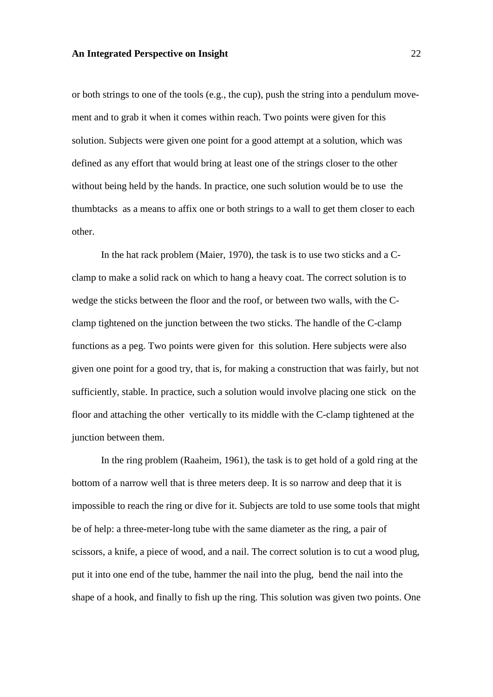or both strings to one of the tools (e.g., the cup), push the string into a pendulum movement and to grab it when it comes within reach. Two points were given for this solution. Subjects were given one point for a good attempt at a solution, which was defined as any effort that would bring at least one of the strings closer to the other without being held by the hands. In practice, one such solution would be to use the thumbtacks as a means to affix one or both strings to a wall to get them closer to each other.

In the hat rack problem (Maier, 1970), the task is to use two sticks and a Cclamp to make a solid rack on which to hang a heavy coat. The correct solution is to wedge the sticks between the floor and the roof, or between two walls, with the Cclamp tightened on the junction between the two sticks. The handle of the C-clamp functions as a peg. Two points were given for this solution. Here subjects were also given one point for a good try, that is, for making a construction that was fairly, but not sufficiently, stable. In practice, such a solution would involve placing one stick on the floor and attaching the other vertically to its middle with the C-clamp tightened at the junction between them.

In the ring problem (Raaheim, 1961), the task is to get hold of a gold ring at the bottom of a narrow well that is three meters deep. It is so narrow and deep that it is impossible to reach the ring or dive for it. Subjects are told to use some tools that might be of help: a three-meter-long tube with the same diameter as the ring, a pair of scissors, a knife, a piece of wood, and a nail. The correct solution is to cut a wood plug, put it into one end of the tube, hammer the nail into the plug, bend the nail into the shape of a hook, and finally to fish up the ring. This solution was given two points. One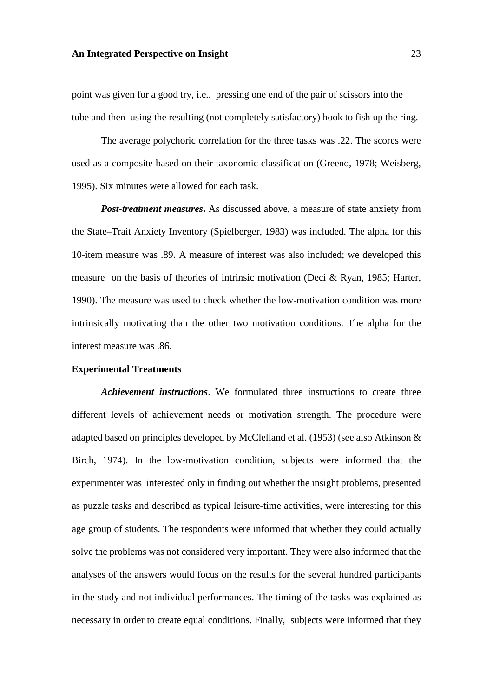point was given for a good try, i.e., pressing one end of the pair of scissors into the tube and then using the resulting (not completely satisfactory) hook to fish up the ring.

The average polychoric correlation for the three tasks was .22. The scores were used as a composite based on their taxonomic classification (Greeno, 1978; Weisberg, 1995). Six minutes were allowed for each task.

*Post-treatment measures***.** As discussed above, a measure of state anxiety from the State–Trait Anxiety Inventory (Spielberger, 1983) was included. The alpha for this 10-item measure was .89. A measure of interest was also included; we developed this measure on the basis of theories of intrinsic motivation (Deci & Ryan, 1985; Harter, 1990). The measure was used to check whether the low-motivation condition was more intrinsically motivating than the other two motivation conditions. The alpha for the interest measure was .86.

#### **Experimental Treatments**

*Achievement instructions*. We formulated three instructions to create three different levels of achievement needs or motivation strength. The procedure were adapted based on principles developed by McClelland et al. (1953) (see also Atkinson & Birch, 1974). In the low-motivation condition, subjects were informed that the experimenter was interested only in finding out whether the insight problems, presented as puzzle tasks and described as typical leisure-time activities, were interesting for this age group of students. The respondents were informed that whether they could actually solve the problems was not considered very important. They were also informed that the analyses of the answers would focus on the results for the several hundred participants in the study and not individual performances. The timing of the tasks was explained as necessary in order to create equal conditions. Finally, subjects were informed that they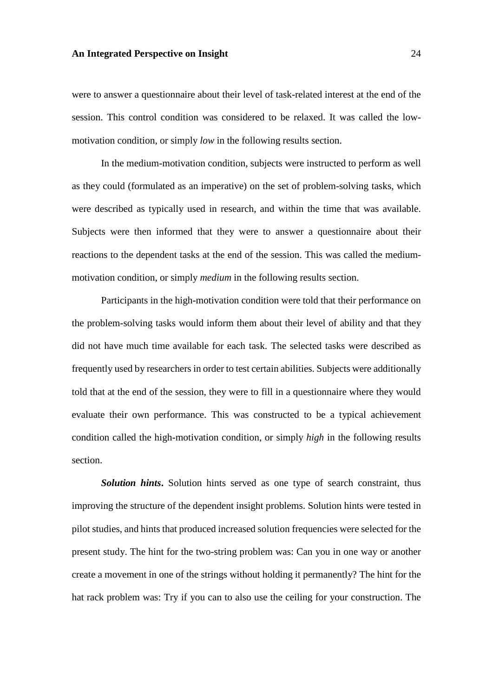were to answer a questionnaire about their level of task-related interest at the end of the session. This control condition was considered to be relaxed. It was called the lowmotivation condition, or simply *low* in the following results section.

In the medium-motivation condition, subjects were instructed to perform as well as they could (formulated as an imperative) on the set of problem-solving tasks, which were described as typically used in research, and within the time that was available. Subjects were then informed that they were to answer a questionnaire about their reactions to the dependent tasks at the end of the session. This was called the mediummotivation condition, or simply *medium* in the following results section.

Participants in the high-motivation condition were told that their performance on the problem-solving tasks would inform them about their level of ability and that they did not have much time available for each task. The selected tasks were described as frequently used by researchers in order to test certain abilities. Subjects were additionally told that at the end of the session, they were to fill in a questionnaire where they would evaluate their own performance. This was constructed to be a typical achievement condition called the high-motivation condition, or simply *high* in the following results section.

*Solution hints***.** Solution hints served as one type of search constraint, thus improving the structure of the dependent insight problems. Solution hints were tested in pilot studies, and hints that produced increased solution frequencies were selected for the present study. The hint for the two-string problem was: Can you in one way or another create a movement in one of the strings without holding it permanently? The hint for the hat rack problem was: Try if you can to also use the ceiling for your construction. The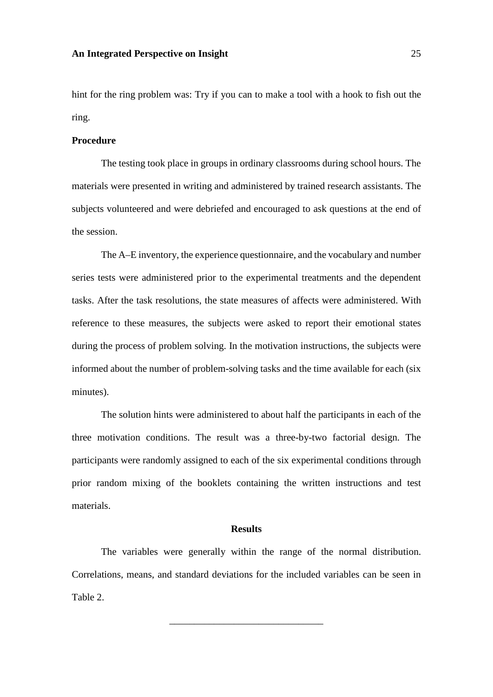hint for the ring problem was: Try if you can to make a tool with a hook to fish out the ring.

#### **Procedure**

The testing took place in groups in ordinary classrooms during school hours. The materials were presented in writing and administered by trained research assistants. The subjects volunteered and were debriefed and encouraged to ask questions at the end of the session.

The A–E inventory, the experience questionnaire, and the vocabulary and number series tests were administered prior to the experimental treatments and the dependent tasks. After the task resolutions, the state measures of affects were administered. With reference to these measures, the subjects were asked to report their emotional states during the process of problem solving. In the motivation instructions, the subjects were informed about the number of problem-solving tasks and the time available for each (six minutes).

The solution hints were administered to about half the participants in each of the three motivation conditions. The result was a three-by-two factorial design. The participants were randomly assigned to each of the six experimental conditions through prior random mixing of the booklets containing the written instructions and test materials.

#### **Results**

The variables were generally within the range of the normal distribution. Correlations, means, and standard deviations for the included variables can be seen in Table 2.

\_\_\_\_\_\_\_\_\_\_\_\_\_\_\_\_\_\_\_\_\_\_\_\_\_\_\_\_\_\_\_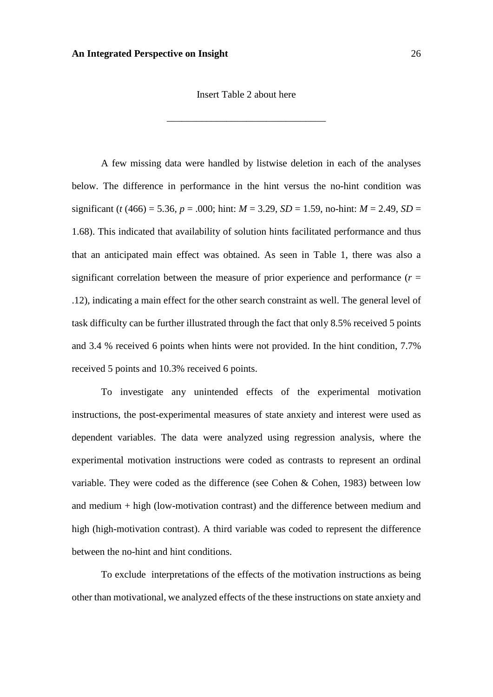Insert Table 2 about here

\_\_\_\_\_\_\_\_\_\_\_\_\_\_\_\_\_\_\_\_\_\_\_\_\_\_\_\_\_\_\_\_

A few missing data were handled by listwise deletion in each of the analyses below. The difference in performance in the hint versus the no-hint condition was significant (*t* (466) = 5.36, *p* = .000; hint:  $M = 3.29$ ,  $SD = 1.59$ , no-hint:  $M = 2.49$ ,  $SD =$ 1.68). This indicated that availability of solution hints facilitated performance and thus that an anticipated main effect was obtained. As seen in Table 1, there was also a significant correlation between the measure of prior experience and performance  $(r =$ .12), indicating a main effect for the other search constraint as well. The general level of task difficulty can be further illustrated through the fact that only 8.5% received 5 points and 3.4 % received 6 points when hints were not provided. In the hint condition, 7.7% received 5 points and 10.3% received 6 points.

To investigate any unintended effects of the experimental motivation instructions, the post-experimental measures of state anxiety and interest were used as dependent variables. The data were analyzed using regression analysis, where the experimental motivation instructions were coded as contrasts to represent an ordinal variable. They were coded as the difference (see Cohen & Cohen, 1983) between low and medium + high (low-motivation contrast) and the difference between medium and high (high-motivation contrast). A third variable was coded to represent the difference between the no-hint and hint conditions.

To exclude interpretations of the effects of the motivation instructions as being other than motivational, we analyzed effects of the these instructions on state anxiety and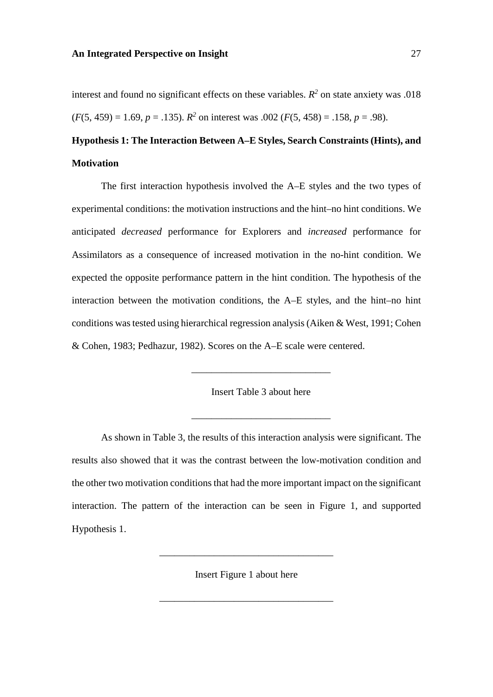interest and found no significant effects on these variables.  $R^2$  on state anxiety was .018  $(F(5, 459) = 1.69, p = .135)$ .  $R^2$  on interest was .002  $(F(5, 458) = .158, p = .98)$ .

# **Hypothesis 1: The Interaction Between A–E Styles, Search Constraints (Hints), and Motivation**

The first interaction hypothesis involved the A–E styles and the two types of experimental conditions: the motivation instructions and the hint–no hint conditions. We anticipated *decreased* performance for Explorers and *increased* performance for Assimilators as a consequence of increased motivation in the no-hint condition. We expected the opposite performance pattern in the hint condition. The hypothesis of the interaction between the motivation conditions, the A–E styles, and the hint–no hint conditions was tested using hierarchical regression analysis (Aiken & West, 1991; Cohen & Cohen, 1983; Pedhazur, 1982). Scores on the A–E scale were centered.

Insert Table 3 about here

\_\_\_\_\_\_\_\_\_\_\_\_\_\_\_\_\_\_\_\_\_\_\_\_\_\_\_\_

\_\_\_\_\_\_\_\_\_\_\_\_\_\_\_\_\_\_\_\_\_\_\_\_\_\_\_\_

As shown in Table 3, the results of this interaction analysis were significant. The results also showed that it was the contrast between the low-motivation condition and the other two motivation conditions that had the more important impact on the significant interaction. The pattern of the interaction can be seen in Figure 1, and supported Hypothesis 1.

Insert Figure 1 about here

\_\_\_\_\_\_\_\_\_\_\_\_\_\_\_\_\_\_\_\_\_\_\_\_\_\_\_\_\_\_\_\_\_\_\_

\_\_\_\_\_\_\_\_\_\_\_\_\_\_\_\_\_\_\_\_\_\_\_\_\_\_\_\_\_\_\_\_\_\_\_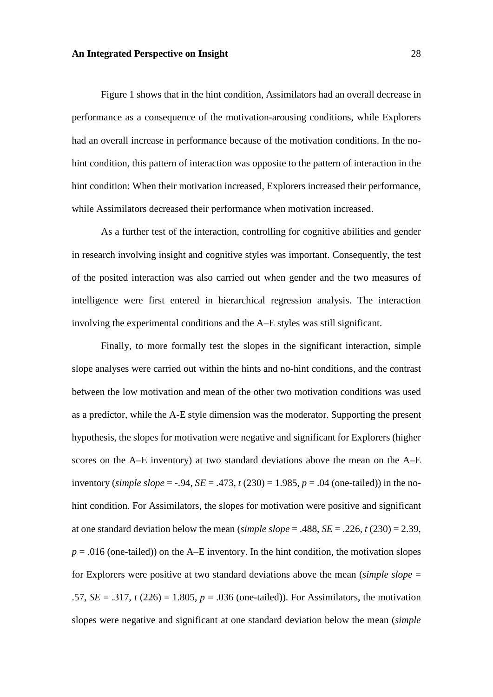Figure 1 shows that in the hint condition, Assimilators had an overall decrease in performance as a consequence of the motivation-arousing conditions, while Explorers had an overall increase in performance because of the motivation conditions. In the nohint condition, this pattern of interaction was opposite to the pattern of interaction in the hint condition: When their motivation increased, Explorers increased their performance, while Assimilators decreased their performance when motivation increased.

As a further test of the interaction, controlling for cognitive abilities and gender in research involving insight and cognitive styles was important. Consequently, the test of the posited interaction was also carried out when gender and the two measures of intelligence were first entered in hierarchical regression analysis. The interaction involving the experimental conditions and the A–E styles was still significant.

Finally, to more formally test the slopes in the significant interaction, simple slope analyses were carried out within the hints and no-hint conditions, and the contrast between the low motivation and mean of the other two motivation conditions was used as a predictor, while the A-E style dimension was the moderator. Supporting the present hypothesis, the slopes for motivation were negative and significant for Explorers (higher scores on the A–E inventory) at two standard deviations above the mean on the A–E inventory (*simple slope* = -.94, *SE* = .473,  $t(230) = 1.985$ ,  $p = .04$  (one-tailed)) in the nohint condition. For Assimilators, the slopes for motivation were positive and significant at one standard deviation below the mean (*simple slope* = .488,  $SE = .226$ ,  $t(230) = 2.39$ ,  $p = .016$  (one-tailed)) on the A–E inventory. In the hint condition, the motivation slopes for Explorers were positive at two standard deviations above the mean (*simple slope* = .57, *SE* = .317, *t* (226) = 1.805, *p* = .036 (one-tailed)). For Assimilators, the motivation slopes were negative and significant at one standard deviation below the mean (*simple*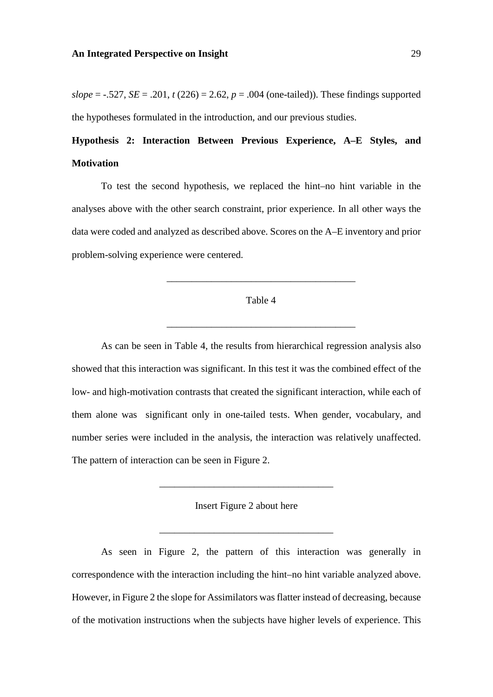$slope = -.527, SE = .201, t(226) = 2.62, p = .004$  (one-tailed)). These findings supported the hypotheses formulated in the introduction, and our previous studies.

# **Hypothesis 2: Interaction Between Previous Experience, A–E Styles, and Motivation**

To test the second hypothesis, we replaced the hint–no hint variable in the analyses above with the other search constraint, prior experience. In all other ways the data were coded and analyzed as described above. Scores on the A–E inventory and prior problem-solving experience were centered.

Table 4

\_\_\_\_\_\_\_\_\_\_\_\_\_\_\_\_\_\_\_\_\_\_\_\_\_\_\_\_\_\_\_\_\_\_\_\_\_\_

\_\_\_\_\_\_\_\_\_\_\_\_\_\_\_\_\_\_\_\_\_\_\_\_\_\_\_\_\_\_\_\_\_\_\_\_\_\_

As can be seen in Table 4, the results from hierarchical regression analysis also showed that this interaction was significant. In this test it was the combined effect of the low- and high-motivation contrasts that created the significant interaction, while each of them alone was significant only in one-tailed tests. When gender, vocabulary, and number series were included in the analysis, the interaction was relatively unaffected. The pattern of interaction can be seen in Figure 2.

Insert Figure 2 about here

\_\_\_\_\_\_\_\_\_\_\_\_\_\_\_\_\_\_\_\_\_\_\_\_\_\_\_\_\_\_\_\_\_\_\_

\_\_\_\_\_\_\_\_\_\_\_\_\_\_\_\_\_\_\_\_\_\_\_\_\_\_\_\_\_\_\_\_\_\_\_

As seen in Figure 2, the pattern of this interaction was generally in correspondence with the interaction including the hint–no hint variable analyzed above. However, in Figure 2 the slope for Assimilators was flatter instead of decreasing, because of the motivation instructions when the subjects have higher levels of experience. This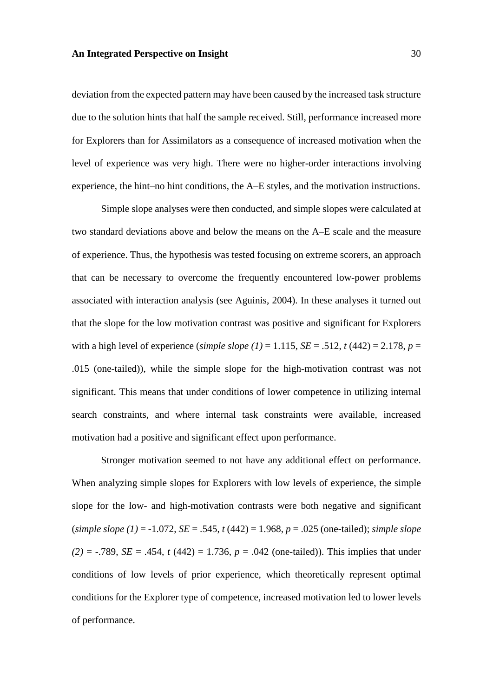deviation from the expected pattern may have been caused by the increased task structure due to the solution hints that half the sample received. Still, performance increased more for Explorers than for Assimilators as a consequence of increased motivation when the level of experience was very high. There were no higher-order interactions involving experience, the hint–no hint conditions, the A–E styles, and the motivation instructions.

Simple slope analyses were then conducted, and simple slopes were calculated at two standard deviations above and below the means on the A–E scale and the measure of experience. Thus, the hypothesis was tested focusing on extreme scorers, an approach that can be necessary to overcome the frequently encountered low-power problems associated with interaction analysis (see Aguinis, 2004). In these analyses it turned out that the slope for the low motivation contrast was positive and significant for Explorers with a high level of experience (*simple slope* (1) = 1.115,  $SE = .512$ ,  $t(442) = 2.178$ ,  $p =$ .015 (one-tailed)), while the simple slope for the high-motivation contrast was not significant. This means that under conditions of lower competence in utilizing internal search constraints, and where internal task constraints were available, increased motivation had a positive and significant effect upon performance.

Stronger motivation seemed to not have any additional effect on performance. When analyzing simple slopes for Explorers with low levels of experience, the simple slope for the low- and high-motivation contrasts were both negative and significant  $(simple slope (1) = -1.072, SE = .545, t (442) = 1.968, p = .025 (one-tailed); simple slope$  $(2) = -0.789$ , *SE* = .454, *t* (442) = 1.736, *p* = .042 (one-tailed)). This implies that under conditions of low levels of prior experience, which theoretically represent optimal conditions for the Explorer type of competence, increased motivation led to lower levels of performance.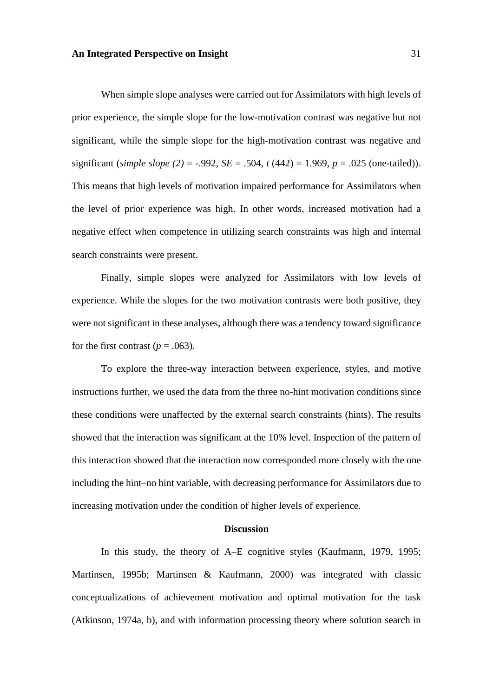When simple slope analyses were carried out for Assimilators with high levels of prior experience, the simple slope for the low-motivation contrast was negative but not significant, while the simple slope for the high-motivation contrast was negative and significant (*simple slope* (2) = -.992, *SE* = .504,  $t(442)$  = 1.969,  $p = .025$  (one-tailed)). This means that high levels of motivation impaired performance for Assimilators when the level of prior experience was high. In other words, increased motivation had a negative effect when competence in utilizing search constraints was high and internal search constraints were present.

Finally, simple slopes were analyzed for Assimilators with low levels of experience. While the slopes for the two motivation contrasts were both positive, they were not significant in these analyses, although there was a tendency toward significance for the first contrast ( $p = .063$ ).

To explore the three-way interaction between experience, styles, and motive instructions further, we used the data from the three no-hint motivation conditions since these conditions were unaffected by the external search constraints (hints). The results showed that the interaction was significant at the 10% level. Inspection of the pattern of this interaction showed that the interaction now corresponded more closely with the one including the hint–no hint variable, with decreasing performance for Assimilators due to increasing motivation under the condition of higher levels of experience.

#### **Discussion**

In this study, the theory of A–E cognitive styles (Kaufmann, 1979, 1995; Martinsen, 1995b; Martinsen & Kaufmann, 2000) was integrated with classic conceptualizations of achievement motivation and optimal motivation for the task (Atkinson, 1974a, b), and with information processing theory where solution search in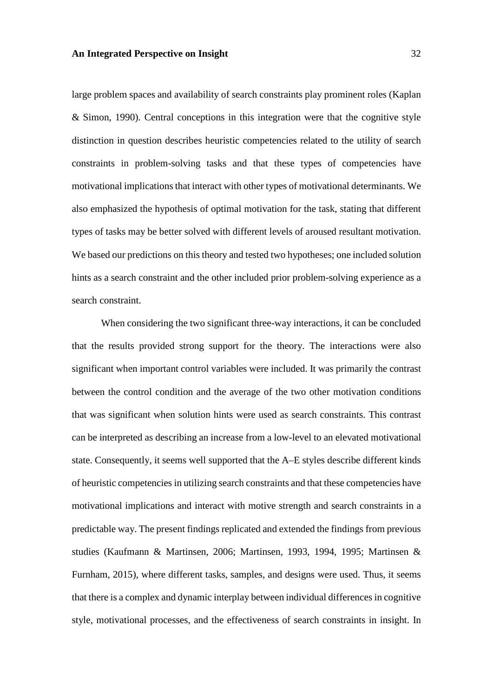large problem spaces and availability of search constraints play prominent roles (Kaplan & Simon, 1990). Central conceptions in this integration were that the cognitive style distinction in question describes heuristic competencies related to the utility of search constraints in problem-solving tasks and that these types of competencies have motivational implications that interact with other types of motivational determinants. We also emphasized the hypothesis of optimal motivation for the task, stating that different types of tasks may be better solved with different levels of aroused resultant motivation. We based our predictions on this theory and tested two hypotheses; one included solution hints as a search constraint and the other included prior problem-solving experience as a search constraint.

When considering the two significant three-way interactions, it can be concluded that the results provided strong support for the theory. The interactions were also significant when important control variables were included. It was primarily the contrast between the control condition and the average of the two other motivation conditions that was significant when solution hints were used as search constraints. This contrast can be interpreted as describing an increase from a low-level to an elevated motivational state. Consequently, it seems well supported that the A–E styles describe different kinds of heuristic competencies in utilizing search constraints and that these competencies have motivational implications and interact with motive strength and search constraints in a predictable way. The present findings replicated and extended the findings from previous studies (Kaufmann & Martinsen, 2006; Martinsen, 1993, 1994, 1995; Martinsen & Furnham, 2015), where different tasks, samples, and designs were used. Thus, it seems that there is a complex and dynamic interplay between individual differences in cognitive style, motivational processes, and the effectiveness of search constraints in insight. In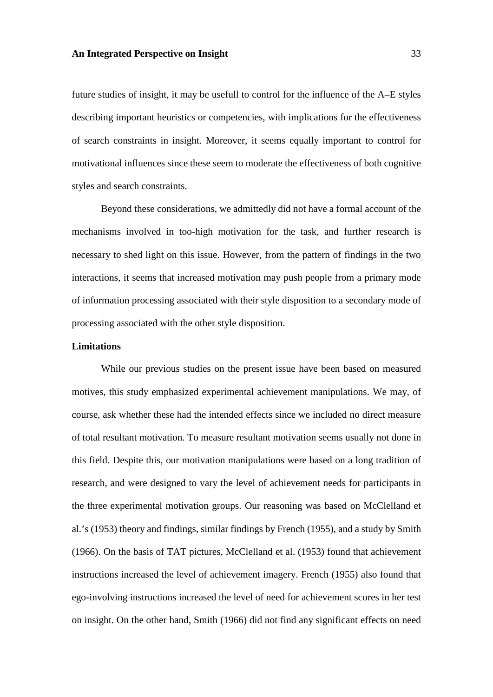future studies of insight, it may be usefull to control for the influence of the A–E styles describing important heuristics or competencies, with implications for the effectiveness of search constraints in insight. Moreover, it seems equally important to control for motivational influences since these seem to moderate the effectiveness of both cognitive styles and search constraints.

Beyond these considerations, we admittedly did not have a formal account of the mechanisms involved in too-high motivation for the task, and further research is necessary to shed light on this issue. However, from the pattern of findings in the two interactions, it seems that increased motivation may push people from a primary mode of information processing associated with their style disposition to a secondary mode of processing associated with the other style disposition.

### **Limitations**

While our previous studies on the present issue have been based on measured motives, this study emphasized experimental achievement manipulations. We may, of course, ask whether these had the intended effects since we included no direct measure of total resultant motivation. To measure resultant motivation seems usually not done in this field. Despite this, our motivation manipulations were based on a long tradition of research, and were designed to vary the level of achievement needs for participants in the three experimental motivation groups. Our reasoning was based on McClelland et al.'s (1953) theory and findings, similar findings by French (1955), and a study by Smith (1966). On the basis of TAT pictures, McClelland et al. (1953) found that achievement instructions increased the level of achievement imagery. French (1955) also found that ego-involving instructions increased the level of need for achievement scores in her test on insight. On the other hand, Smith (1966) did not find any significant effects on need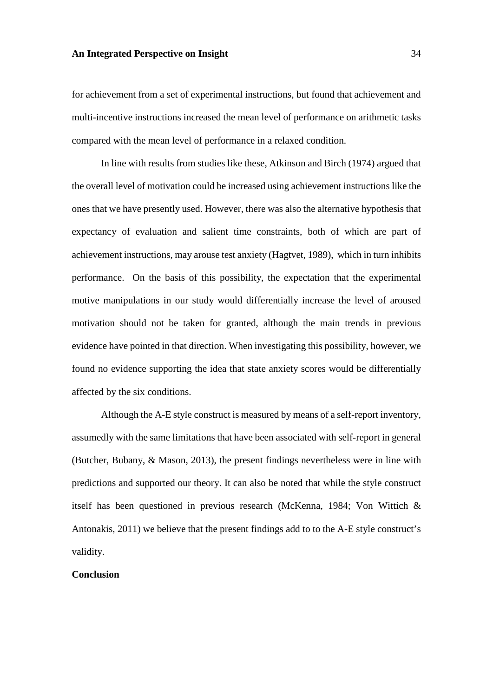for achievement from a set of experimental instructions, but found that achievement and multi-incentive instructions increased the mean level of performance on arithmetic tasks compared with the mean level of performance in a relaxed condition.

In line with results from studies like these, Atkinson and Birch (1974) argued that the overall level of motivation could be increased using achievement instructions like the ones that we have presently used. However, there was also the alternative hypothesis that expectancy of evaluation and salient time constraints, both of which are part of achievement instructions, may arouse test anxiety (Hagtvet, 1989), which in turn inhibits performance. On the basis of this possibility, the expectation that the experimental motive manipulations in our study would differentially increase the level of aroused motivation should not be taken for granted, although the main trends in previous evidence have pointed in that direction. When investigating this possibility, however, we found no evidence supporting the idea that state anxiety scores would be differentially affected by the six conditions.

Although the A-E style construct is measured by means of a self-report inventory, assumedly with the same limitations that have been associated with self-report in general (Butcher, Bubany, & Mason, 2013), the present findings nevertheless were in line with predictions and supported our theory. It can also be noted that while the style construct itself has been questioned in previous research (McKenna, 1984; Von Wittich & Antonakis, 2011) we believe that the present findings add to to the A-E style construct's validity.

# **Conclusion**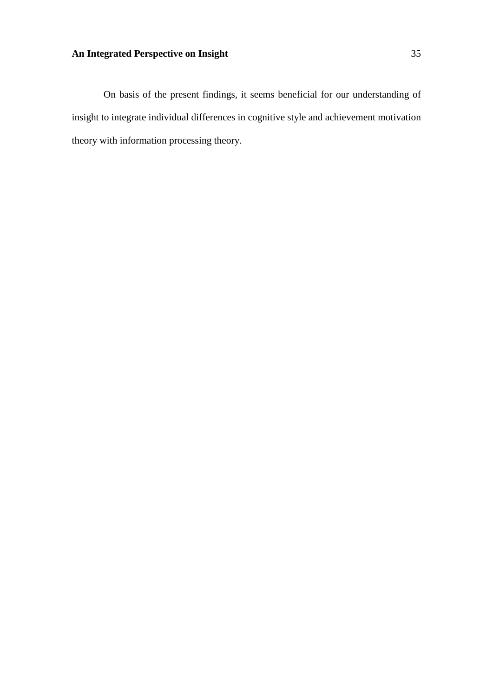On basis of the present findings, it seems beneficial for our understanding of insight to integrate individual differences in cognitive style and achievement motivation theory with information processing theory.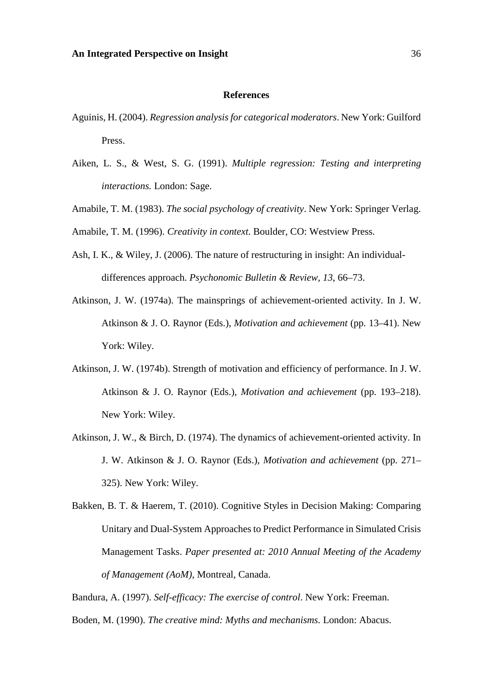#### **References**

- Aguinis, H. (2004). *Regression analysis for categorical moderators*. New York: Guilford Press.
- Aiken, L. S., & West, S. G. (1991). *Multiple regression: Testing and interpreting interactions.* London: Sage.
- Amabile, T. M. (1983). *The social psychology of creativity*. New York: Springer Verlag.
- Amabile, T. M. (1996). *Creativity in context*. Boulder, CO: Westview Press.
- Ash, I. K., & Wiley, J. (2006). The nature of restructuring in insight: An individualdifferences approach. *Psychonomic Bulletin & Review, 13*, 66–73.
- Atkinson, J. W. (1974a). The mainsprings of achievement-oriented activity. In J. W. Atkinson & J. O. Raynor (Eds.), *Motivation and achievement* (pp. 13–41). New York: Wiley.
- Atkinson, J. W. (1974b). Strength of motivation and efficiency of performance. In J. W. Atkinson & J. O. Raynor (Eds.), *Motivation and achievement* (pp. 193–218). New York: Wiley.
- Atkinson, J. W., & Birch, D. (1974). The dynamics of achievement-oriented activity. In J. W. Atkinson & J. O. Raynor (Eds.), *Motivation and achievement* (pp. 271– 325). New York: Wiley.
- Bakken, B. T. & Haerem, T. (2010). Cognitive Styles in Decision Making: Comparing Unitary and Dual-System Approaches to Predict Performance in Simulated Crisis Management Tasks. *Paper presented at: 2010 Annual Meeting of the Academy of Management (AoM),* Montreal, Canada.
- Bandura, A. (1997). *Self-efficacy: The exercise of control*. New York: Freeman.
- Boden, M. (1990). *The creative mind: Myths and mechanisms.* London: Abacus.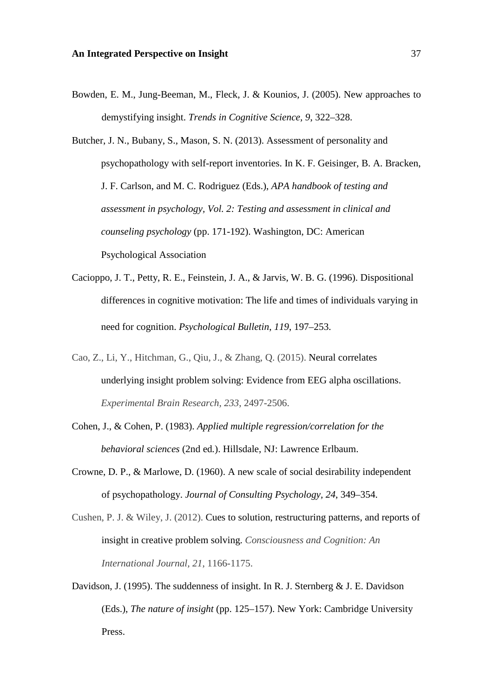Bowden, E. M., Jung-Beeman, M., Fleck, J. & Kounios, J. (2005). New approaches to demystifying insight. *Trends in Cognitive Science, 9*, 322–328.

Butcher, J. N., Bubany, S., Mason, S. N. (2013). Assessment of personality and psychopathology with self-report inventories. In K. F. Geisinger, B. A. Bracken, J. F. Carlson, and M. C. Rodriguez (Eds.), *APA handbook of testing and assessment in psychology, Vol. 2: Testing and assessment in clinical and counseling psychology* (pp. 171-192). Washington, DC: American Psychological Association

- Cacioppo, J. T., Petty, R. E., Feinstein, J. A., & Jarvis, W. B. G. (1996). Dispositional differences in cognitive motivation: The life and times of individuals varying in need for cognition. *Psychological Bulletin*, *119*, 197–253.
- Cao, Z., Li, Y., Hitchman, G., Qiu, J., & Zhang, Q. (2015). Neural correlates underlying insight problem solving: Evidence from EEG alpha oscillations. *Experimental Brain Research, 233*, 2497-2506.
- Cohen, J., & Cohen, P. (1983). *Applied multiple regression/correlation for the behavioral sciences* (2nd ed*.*). Hillsdale, NJ: Lawrence Erlbaum.
- Crowne, D. P., & Marlowe, D. (1960). A new scale of social desirability independent of psychopathology. *Journal of Consulting Psychology, 24*, 349–354.
- Cushen, P. J. & Wiley, J. (2012). Cues to solution, restructuring patterns, and reports of insight in creative problem solving. *Consciousness and Cognition: An International Journal, 21*, 1166-1175.
- Davidson, J. (1995). The suddenness of insight. In R. J. Sternberg & J. E. Davidson (Eds.), *The nature of insight* (pp. 125–157). New York: Cambridge University Press.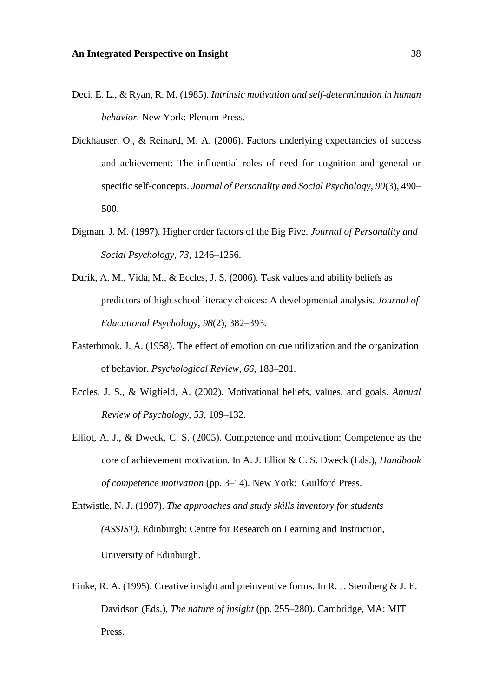- Deci, E. L., & Ryan, R. M. (1985). *Intrinsic motivation and self-determination in human behavior.* New York: Plenum Press.
- Dickhäuser, O., & Reinard, M. A. (2006). Factors underlying expectancies of success and achievement: The influential roles of need for cognition and general or specific self-concepts. *Journal of Personality and Social Psychology*, *90*(3), 490– 500.
- Digman, J. M. (1997). Higher order factors of the Big Five. *Journal of Personality and Social Psychology*, *73*, 1246–1256.
- Durik, A. M., Vida, M., & Eccles, J. S. (2006). Task values and ability beliefs as predictors of high school literacy choices: A developmental analysis. *Journal of Educational Psychology*, *98*(2), 382–393.
- Easterbrook, J. A. (1958). The effect of emotion on cue utilization and the organization of behavior. *Psychological Review, 66*, 183–201.
- Eccles, J. S., & Wigfield, A. (2002). Motivational beliefs, values, and goals. *Annual Review of Psychology, 53,* 109–132.
- Elliot, A. J., & Dweck, C. S. (2005). Competence and motivation: Competence as the core of achievement motivation. In A. J. Elliot & C. S. Dweck (Eds.), *Handbook of competence motivation* (pp. 3–14). New York: Guilford Press.
- Entwistle, N. J. (1997). *The approaches and study skills inventory for students (ASSIST)*. Edinburgh: Centre for Research on Learning and Instruction, University of Edinburgh.
- Finke, R. A. (1995). Creative insight and preinventive forms. In R. J. Sternberg & J. E. Davidson (Eds.), *The nature of insight* (pp. 255–280). Cambridge, MA: MIT Press.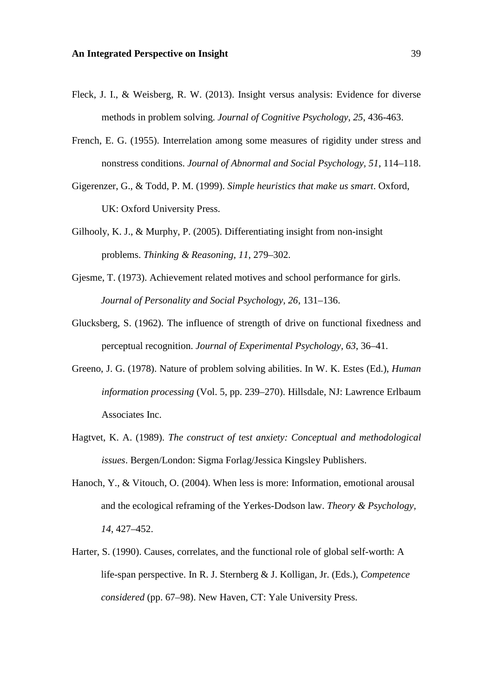- Fleck, J. I., & Weisberg, R. W. (2013). Insight versus analysis: Evidence for diverse methods in problem solving. *Journal of Cognitive Psychology, 25*, 436-463.
- French, E. G. (1955). Interrelation among some measures of rigidity under stress and nonstress conditions. *Journal of Abnormal and Social Psychology, 51*, 114–118.
- Gigerenzer, G., & Todd, P. M. (1999). *Simple heuristics that make us smart*. Oxford, UK: Oxford University Press.
- Gilhooly, K. J., & Murphy, P. (2005). Differentiating insight from non-insight problems. *Thinking & Reasoning, 11*, 279–302.
- Gjesme, T. (1973). Achievement related motives and school performance for girls. *Journal of Personality and Social Psychology, 26*, 131–136.
- Glucksberg, S. (1962). The influence of strength of drive on functional fixedness and perceptual recognition. *Journal of Experimental Psychology, 63*, 36–41.
- Greeno, J. G. (1978). Nature of problem solving abilities. In W. K. Estes (Ed.), *Human information processing* (Vol. 5, pp. 239–270). Hillsdale, NJ: Lawrence Erlbaum Associates Inc.
- Hagtvet, K. A. (1989). *The construct of test anxiety: Conceptual and methodological issues*. Bergen/London: Sigma Forlag/Jessica Kingsley Publishers.
- Hanoch, Y., & Vitouch, O. (2004). When less is more: Information, emotional arousal and the ecological reframing of the Yerkes-Dodson law. *Theory & Psychology, 14*, 427–452.
- Harter, S. (1990). Causes, correlates, and the functional role of global self-worth: A life-span perspective. In R. J. Sternberg & J. Kolligan, Jr. (Eds.), *Competence considered* (pp. 67–98). New Haven, CT: Yale University Press.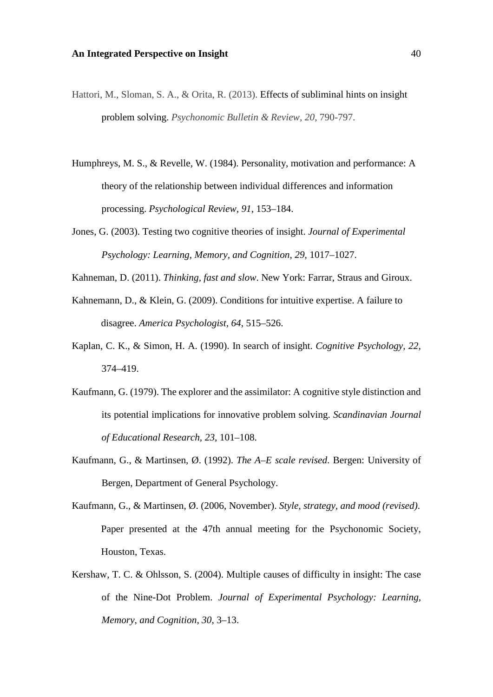- Hattori, M., Sloman, S. A., & Orita, R. (2013). Effects of subliminal hints on insight problem solving. *Psychonomic Bulletin & Review, 20*, 790-797.
- Humphreys, M. S., & Revelle, W. (1984). Personality, motivation and performance: A theory of the relationship between individual differences and information processing. *Psychological Review, 91*, 153–184.
- Jones, G. (2003). Testing two cognitive theories of insight. *Journal of Experimental Psychology: Learning, Memory, and Cognition*, *29*, 1017–1027.
- Kahneman, D. (2011). *Thinking, fast and slow*. New York: Farrar, Straus and Giroux.
- Kahnemann, D., & Klein, G. (2009). Conditions for intuitive expertise. A failure to disagree. *America Psychologist, 64*, 515–526.
- Kaplan, C. K., & Simon, H. A. (1990). In search of insight. *Cognitive Psychology, 22*, 374–419.
- Kaufmann, G. (1979). The explorer and the assimilator: A cognitive style distinction and its potential implications for innovative problem solving. *Scandinavian Journal of Educational Research, 23*, 101–108.
- Kaufmann, G., & Martinsen, Ø. (1992). *The A–E scale revised*. Bergen: University of Bergen, Department of General Psychology.
- Kaufmann, G., & Martinsen, Ø. (2006, November). *Style, strategy, and mood (revised)*. Paper presented at the 47th annual meeting for the Psychonomic Society, Houston, Texas.
- Kershaw, T. C. & Ohlsson, S. (2004). Multiple causes of difficulty in insight: The case of the Nine-Dot Problem. *Journal of Experimental Psychology: Learning, Memory, and Cognition, 30*, 3–13.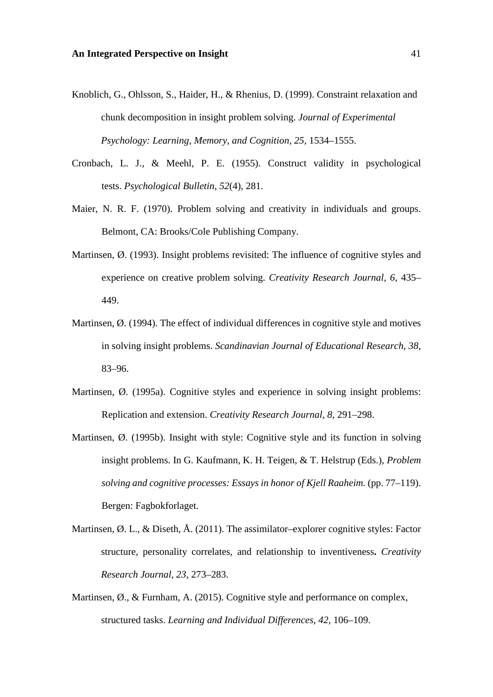- Knoblich, G., Ohlsson, S., Haider, H., & Rhenius, D. (1999). Constraint relaxation and chunk decomposition in insight problem solving. *Journal of Experimental Psychology: Learning, Memory, and Cognition, 25, 1534–1555.*
- Cronbach, L. J., & Meehl, P. E. (1955). Construct validity in psychological tests. *Psychological Bulletin*, *52*(4), 281.
- Maier, N. R. F. (1970). Problem solving and creativity in individuals and groups. Belmont, CA: Brooks/Cole Publishing Company.
- Martinsen,  $\emptyset$ . (1993). Insight problems revisited: The influence of cognitive styles and experience on creative problem solving. *Creativity Research Journal, 6,* 435– 449.
- Martinsen,  $\emptyset$ . (1994). The effect of individual differences in cognitive style and motives in solving insight problems. *Scandinavian Journal of Educational Research, 38*, 83–96.
- Martinsen,  $\emptyset$ . (1995a). Cognitive styles and experience in solving insight problems: Replication and extension. *Creativity Research Journal, 8*, 291–298.
- Martinsen,  $\emptyset$ . (1995b). Insight with style: Cognitive style and its function in solving insight problems. In G. Kaufmann, K. H. Teigen, & T. Helstrup (Eds.), *Problem solving and cognitive processes: Essays in honor of Kjell Raaheim.* (pp. 77–119). Bergen: Fagbokforlaget.
- Martinsen,  $\emptyset$ . L., & Diseth, Å. (2011). The assimilator–explorer cognitive styles: Factor structure, personality correlates, and relationship to inventiveness**.** *Creativity Research Journal, 23*, 273–283.
- Martinsen,  $\emptyset$ ., & Furnham, A. (2015). Cognitive style and performance on complex, structured tasks. *Learning and Individual Differences, 42,* 106–109.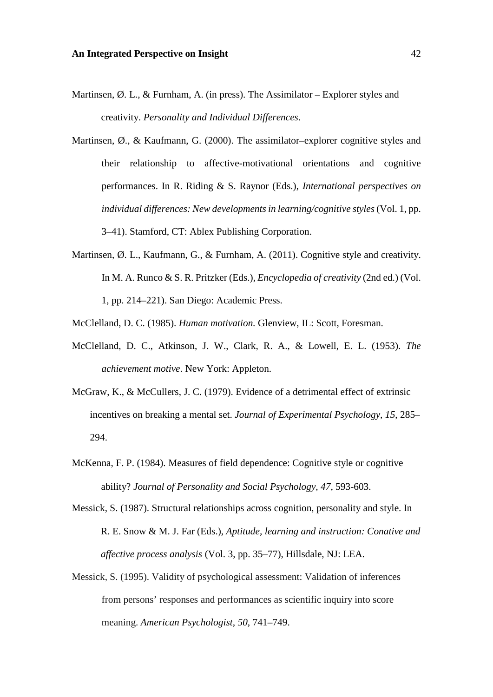- Martinsen, Ø. L., & Furnham, A. (in press). The Assimilator Explorer styles and creativity. *Personality and Individual Differences*.
- Martinsen, Ø., & Kaufmann, G. (2000). The assimilator–explorer cognitive styles and their relationship to affective-motivational orientations and cognitive performances. In R. Riding & S. Raynor (Eds.), *International perspectives on individual differences: New developments in learning/cognitive styles*(Vol. 1, pp. 3–41). Stamford, CT: Ablex Publishing Corporation.
- Martinsen, Ø. L., Kaufmann, G., & Furnham, A. (2011). Cognitive style and creativity. In M. A. Runco & S. R. Pritzker (Eds.), *Encyclopedia of creativity* (2nd ed.) (Vol. 1, pp. 214–221). San Diego: Academic Press.
- McClelland, D. C. (1985). *Human motivation.* Glenview, IL: Scott, Foresman.
- McClelland, D. C., Atkinson, J. W., Clark, R. A., & Lowell, E. L. (1953). *The achievement motive*. New York: Appleton.
- McGraw, K., & McCullers, J. C. (1979). Evidence of a detrimental effect of extrinsic incentives on breaking a mental set. *Journal of Experimental Psychology, 15*, 285– 294.
- McKenna, F. P. (1984). Measures of field dependence: Cognitive style or cognitive ability? *Journal of Personality and Social Psychology, 47,* 593-603.
- Messick, S. (1987). Structural relationships across cognition, personality and style. In R. E. Snow & M. J. Far (Eds.), *Aptitude, learning and instruction: Conative and affective process analysis* (Vol. 3, pp. 35–77), Hillsdale, NJ: LEA.
- Messick, S. (1995). Validity of psychological assessment: Validation of inferences from persons' responses and performances as scientific inquiry into score meaning. *American Psychologist, 50*, 741–749.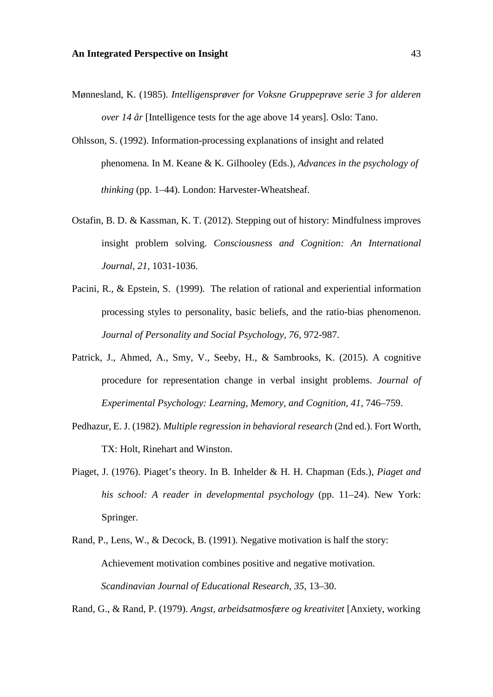- Mønnesland, K. (1985). *Intelligensprøver for Voksne Gruppeprøve serie 3 for alderen over 14 år* [Intelligence tests for the age above 14 years]. Oslo: Tano.
- Ohlsson, S. (1992). Information-processing explanations of insight and related phenomena. In M. Keane & K. Gilhooley (Eds.), *Advances in the psychology of thinking* (pp. 1–44). London: Harvester-Wheatsheaf.
- Ostafin, B. D. & Kassman, K. T. (2012). Stepping out of history: Mindfulness improves insight problem solving. *Consciousness and Cognition: An International Journal, 21*, 1031-1036.
- Pacini, R., & Epstein, S. (1999). The relation of rational and experiential information processing styles to personality, basic beliefs, and the ratio-bias phenomenon. *Journal of Personality and Social Psychology*, *76*, 972-987.
- Patrick, J., Ahmed, A., Smy, V., Seeby, H., & Sambrooks, K. (2015). A cognitive procedure for representation change in verbal insight problems. *Journal of Experimental Psychology: Learning, Memory, and Cognition, 41*, 746–759.
- Pedhazur, E. J. (1982). *Multiple regression in behavioral research* (2nd ed.). Fort Worth, TX: Holt, Rinehart and Winston.
- Piaget, J. (1976). Piaget's theory. In B. Inhelder & H. H. Chapman (Eds.), *Piaget and his school: A reader in developmental psychology* (pp. 11–24). New York: Springer.
- Rand, P., Lens, W., & Decock, B. (1991). Negative motivation is half the story: Achievement motivation combines positive and negative motivation. *Scandinavian Journal of Educational Research, 35*, 13–30.

Rand, G., & Rand, P. (1979). *Angst, arbeidsatmosfære og kreativitet* [Anxiety, working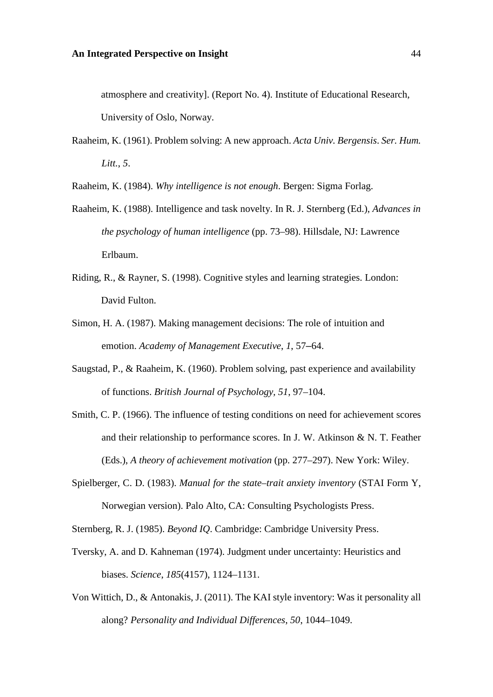atmosphere and creativity]. (Report No. 4). Institute of Educational Research, University of Oslo, Norway.

- Raaheim, K. (1961). Problem solving: A new approach. *Acta Univ. Bergensis*. *Ser. Hum. Litt.*, *5*.
- Raaheim, K. (1984). *Why intelligence is not enough*. Bergen: Sigma Forlag.
- Raaheim, K. (1988). Intelligence and task novelty. In R. J. Sternberg (Ed.), *Advances in the psychology of human intelligence* (pp. 73–98). Hillsdale, NJ: Lawrence Erlbaum.
- Riding, R., & Rayner, S. (1998). Cognitive styles and learning strategies. London: David Fulton.
- Simon, H. A. (1987). Making management decisions: The role of intuition and emotion. *Academy of Management Executive*, *1*, 57–64.
- Saugstad, P., & Raaheim, K. (1960). Problem solving, past experience and availability of functions. *British Journal of Psychology, 51*, 97–104.
- Smith, C. P. (1966). The influence of testing conditions on need for achievement scores and their relationship to performance scores. In J. W. Atkinson & N. T. Feather (Eds.), *A theory of achievement motivation* (pp. 277–297). New York: Wiley.
- Spielberger, C. D. (1983). *Manual for the state–trait anxiety inventory* (STAI Form Y, Norwegian version). Palo Alto, CA: Consulting Psychologists Press.
- Sternberg, R. J. (1985). *Beyond IQ*. Cambridge: Cambridge University Press.
- Tversky, A. and D. Kahneman (1974). Judgment under uncertainty: Heuristics and biases. *Science*, *185*(4157), 1124–1131.
- Von Wittich, D., & Antonakis, J. (2011). The KAI style inventory: Was it personality all along? *Personality and Individual Differences*, *50*, 1044–1049.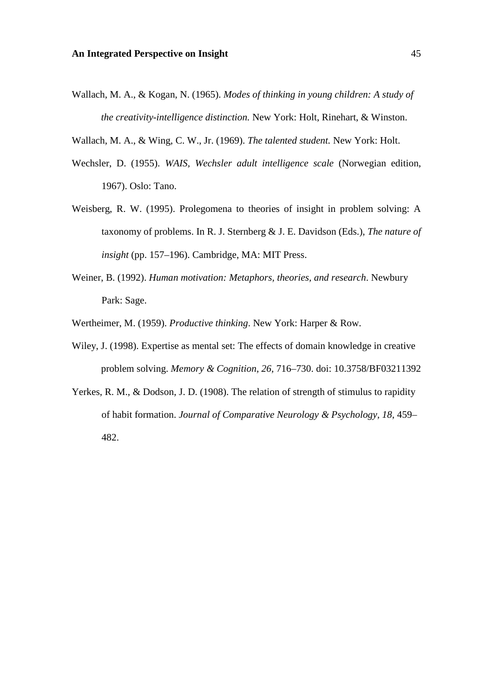Wallach, M. A., & Kogan, N. (1965). *Modes of thinking in young children: A study of the creativity-intelligence distinction.* New York: Holt, Rinehart, & Winston.

Wallach, M. A., & Wing, C. W., Jr. (1969). *The talented student.* New York: Holt.

- Wechsler, D. (1955). *WAIS, Wechsler adult intelligence scale* (Norwegian edition, 1967). Oslo: Tano.
- Weisberg, R. W. (1995). Prolegomena to theories of insight in problem solving: A taxonomy of problems. In R. J. Sternberg & J. E. Davidson (Eds.), *The nature of insight* (pp. 157–196). Cambridge, MA: MIT Press.
- Weiner, B. (1992). *Human motivation: Metaphors, theories, and research*. Newbury Park: Sage.

Wertheimer, M. (1959). *Productive thinking*. New York: Harper & Row.

- Wiley, J. (1998). Expertise as mental set: The effects of domain knowledge in creative problem solving. *Memory & Cognition, 26,* 716–730. doi: 10.3758/BF03211392
- Yerkes, R. M., & Dodson, J. D. (1908). The relation of strength of stimulus to rapidity of habit formation. *Journal of Comparative Neurology & Psychology, 18*, 459– 482.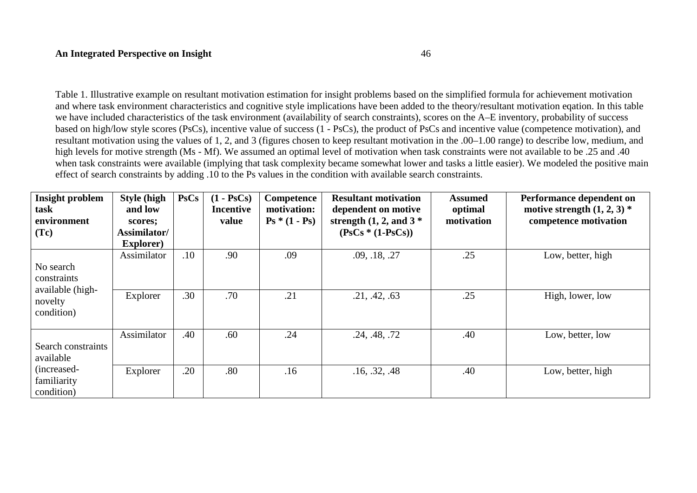Table 1. Illustrative example on resultant motivation estimation for insight problems based on the simplified formula for achievement motivation and where task environment characteristics and cognitive style implications have been added to the theory/resultant motivation eqation. In this table we have included characteristics of the task environment (availability of search constraints), scores on the A–E inventory, probability of success based on high/low style scores (PsCs), incentive value of success (1 - PsCs), the product of PsCs and incentive value (competence motivation), and resultant motivation using the values of 1, 2, and 3 (figures chosen to keep resultant motivation in the .00–1.00 range) to describe low, medium, and high levels for motive strength (Ms - Mf). We assumed an optimal level of motivation when task constraints were not available to be .25 and .40 when task constraints were available (implying that task complexity became somewhat lower and tasks a little easier). We modeled the positive main effect of search constraints by adding .10 to the Ps values in the condition with available search constraints.

| <b>Insight problem</b><br>task | <b>Style (high</b><br>and low | $\overline{\text{PsCs}}$ | $(1 - PsCs)$<br><b>Incentive</b> | Competence<br>motivation: | <b>Resultant motivation</b><br>dependent on motive | <b>Assumed</b><br>optimal | Performance dependent on<br>motive strength $(1, 2, 3)$ * |
|--------------------------------|-------------------------------|--------------------------|----------------------------------|---------------------------|----------------------------------------------------|---------------------------|-----------------------------------------------------------|
| environment                    | scores;                       |                          | value                            | $Ps * (1 - Ps)$           | strength $(1, 2,$ and $3$ *                        | motivation                | competence motivation                                     |
| (Tc)                           | Assimilator/                  |                          |                                  |                           | $(PsCs * (1-PsCs))$                                |                           |                                                           |
|                                | <b>Explorer</b> )             |                          |                                  |                           |                                                    |                           |                                                           |
|                                | Assimilator                   | .10                      | .90                              | .09                       | .09, .18, .27                                      | .25                       | Low, better, high                                         |
| No search                      |                               |                          |                                  |                           |                                                    |                           |                                                           |
| constraints                    |                               |                          |                                  |                           |                                                    |                           |                                                           |
| available (high-               | Explorer                      | .30                      | .70                              | .21                       | .21, .42, .63                                      | .25                       | High, lower, low                                          |
| novelty                        |                               |                          |                                  |                           |                                                    |                           |                                                           |
| condition)                     |                               |                          |                                  |                           |                                                    |                           |                                                           |
|                                |                               |                          |                                  |                           |                                                    |                           |                                                           |
|                                | Assimilator                   | .40                      | .60                              | .24                       | .24, .48, .72                                      | .40                       | Low, better, low                                          |
| Search constraints             |                               |                          |                                  |                           |                                                    |                           |                                                           |
| available                      |                               |                          |                                  |                           |                                                    |                           |                                                           |
| (increased-                    | Explorer                      | .20                      | .80                              | .16                       | .16, .32, .48                                      | .40                       | Low, better, high                                         |
| familiarity                    |                               |                          |                                  |                           |                                                    |                           |                                                           |
| condition)                     |                               |                          |                                  |                           |                                                    |                           |                                                           |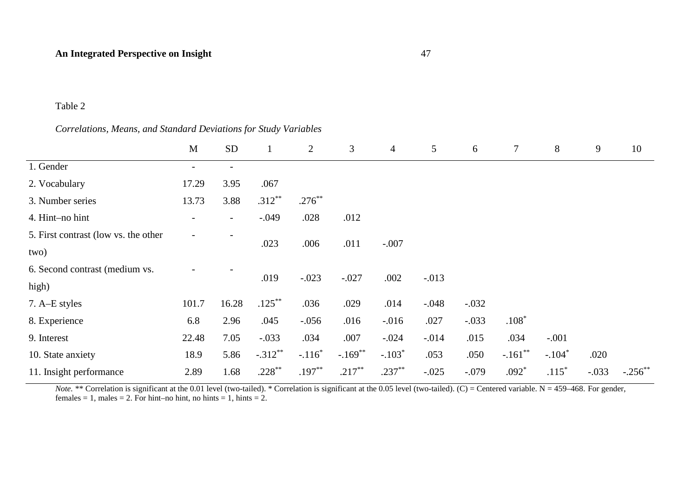# Table 2

# *Correlations, Means, and Standard Deviations for Study Variables*

|                                      | $\mathbf{M}$             | <b>SD</b>                |            | $\overline{2}$ | 3         | $\overline{4}$ | 5        | 6       | $\tau$     | 8        | 9       | 10         |
|--------------------------------------|--------------------------|--------------------------|------------|----------------|-----------|----------------|----------|---------|------------|----------|---------|------------|
| 1. Gender                            | $\overline{\phantom{0}}$ | $\overline{\phantom{a}}$ |            |                |           |                |          |         |            |          |         |            |
| 2. Vocabulary                        | 17.29                    | 3.95                     | .067       |                |           |                |          |         |            |          |         |            |
| 3. Number series                     | 13.73                    | 3.88                     | $.312***$  | $.276***$      |           |                |          |         |            |          |         |            |
| 4. Hint-no hint                      | $\qquad \qquad -$        | $\overline{\phantom{a}}$ | $-.049$    | .028           | .012      |                |          |         |            |          |         |            |
| 5. First contrast (low vs. the other | $\overline{\phantom{a}}$ | $\overline{\phantom{a}}$ | .023       | .006           | .011      | $-.007$        |          |         |            |          |         |            |
| two)                                 |                          |                          |            |                |           |                |          |         |            |          |         |            |
| 6. Second contrast (medium vs.       |                          | $\qquad \qquad$          | .019       | $-.023$        | $-.027$   | .002           | $-0.013$ |         |            |          |         |            |
| high)                                |                          |                          |            |                |           |                |          |         |            |          |         |            |
| 7. A-E styles                        | 101.7                    | 16.28                    | $.125***$  | .036           | .029      | .014           | $-.048$  | $-.032$ |            |          |         |            |
| 8. Experience                        | 6.8                      | 2.96                     | .045       | $-.056$        | .016      | $-.016$        | .027     | $-.033$ | $.108*$    |          |         |            |
| 9. Interest                          | 22.48                    | 7.05                     | $-.033$    | .034           | .007      | $-.024$        | $-0.014$ | .015    | .034       | $-.001$  |         |            |
| 10. State anxiety                    | 18.9                     | 5.86                     | $-.312***$ | $-.116*$       | $-.169**$ | $-.103*$       | .053     | .050    | $-.161$ ** | $-.104*$ | .020    |            |
| 11. Insight performance              | 2.89                     | 1.68                     | $.228***$  | $.197***$      | $.217***$ | $.237***$      | $-.025$  | $-.079$ | $.092*$    | $.115*$  | $-.033$ | $-.256$ ** |

*Note.* \*\* Correlation is significant at the 0.01 level (two-tailed). \* Correlation is significant at the 0.05 level (two-tailed). (C) = Centered variable. N = 459–468. For gender, females = 1, males = 2. For hint–no hint, no hints = 1, hints = 2.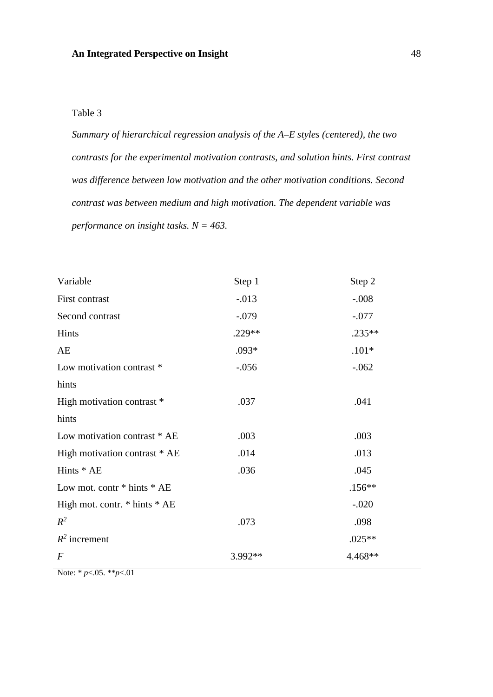#### Table 3

*Summary of hierarchical regression analysis of the A–E styles (centered), the two contrasts for the experimental motivation contrasts, and solution hints. First contrast was difference between low motivation and the other motivation conditions. Second contrast was between medium and high motivation. The dependent variable was performance on insight tasks. N = 463.*

| Variable                          | Step 1   | Step 2   |
|-----------------------------------|----------|----------|
| First contrast                    | $-.013$  | $-.008$  |
| Second contrast                   | $-.079$  | $-.077$  |
| Hints                             | $.229**$ | $.235**$ |
| AE                                | .093*    | $.101*$  |
| Low motivation contrast *         | $-0.056$ | $-.062$  |
| hints                             |          |          |
| High motivation contrast *        | .037     | .041     |
| hints                             |          |          |
| Low motivation contrast * AE      | .003     | .003     |
| High motivation contrast * AE     | .014     | .013     |
| Hints * AE                        | .036     | .045     |
| Low mot. contr * hints * AE       |          | $.156**$ |
| High mot. contr. $*$ hints $*$ AE |          | $-.020$  |
| $R^2$                             | .073     | .098     |
| $R^2$ increment                   |          | $.025**$ |
| $\overline{F}$                    | 3.992**  | 4.468**  |

Note: \* *p*<.05. \*\**p*<.01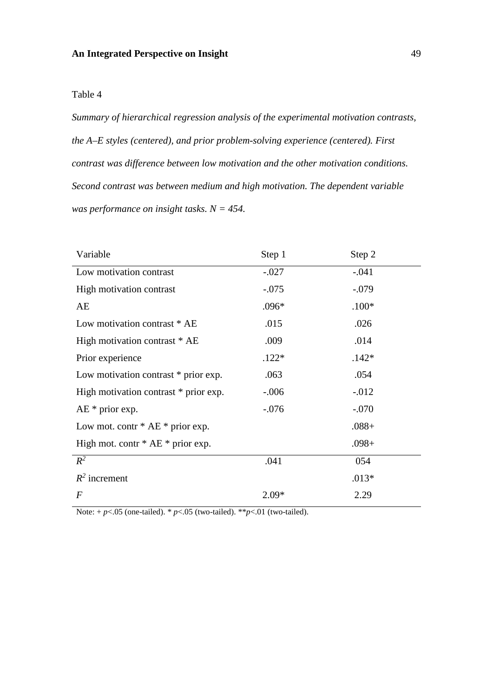#### Table 4

*Summary of hierarchical regression analysis of the experimental motivation contrasts, the A–E styles (centered), and prior problem-solving experience (centered). First contrast was difference between low motivation and the other motivation conditions. Second contrast was between medium and high motivation. The dependent variable was performance on insight tasks. N = 454.*

| Variable                              | Step 1  | Step 2   |  |
|---------------------------------------|---------|----------|--|
| Low motivation contrast               | $-.027$ | $-.041$  |  |
| High motivation contrast              | $-.075$ | $-.079$  |  |
| AE                                    | $.096*$ | $.100*$  |  |
| Low motivation contrast * AE          | .015    | .026     |  |
| High motivation contrast * AE         | .009    | .014     |  |
| Prior experience                      | $.122*$ | $.142*$  |  |
| Low motivation contrast * prior exp.  | .063    | .054     |  |
| High motivation contrast * prior exp. | $-.006$ | $-0.012$ |  |
| $AE * prior exp.$                     | $-.076$ | $-.070$  |  |
| Low mot. contr $*$ AE $*$ prior exp.  |         | $.088 +$ |  |
| High mot. contr $*AE * prior exp$ .   |         | $.098 +$ |  |
| $R^2$                                 | .041    | 054      |  |
| $R^2$ increment                       |         | $.013*$  |  |
| $\bm{F}$                              | $2.09*$ | 2.29     |  |
|                                       |         |          |  |

Note: +  $p$ <.05 (one-tailed). \*  $p$  <.05 (two-tailed). \*\* $p$  <.01 (two-tailed).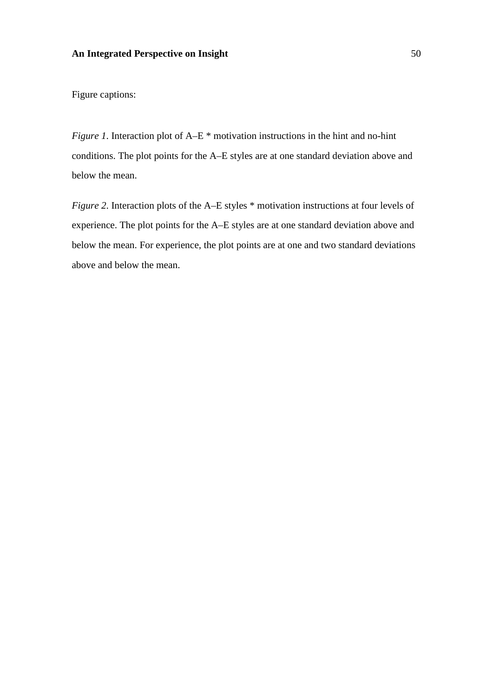Figure captions:

*Figure 1*. Interaction plot of A–E \* motivation instructions in the hint and no-hint conditions. The plot points for the A–E styles are at one standard deviation above and below the mean.

*Figure 2*. Interaction plots of the A–E styles \* motivation instructions at four levels of experience. The plot points for the A–E styles are at one standard deviation above and below the mean. For experience, the plot points are at one and two standard deviations above and below the mean.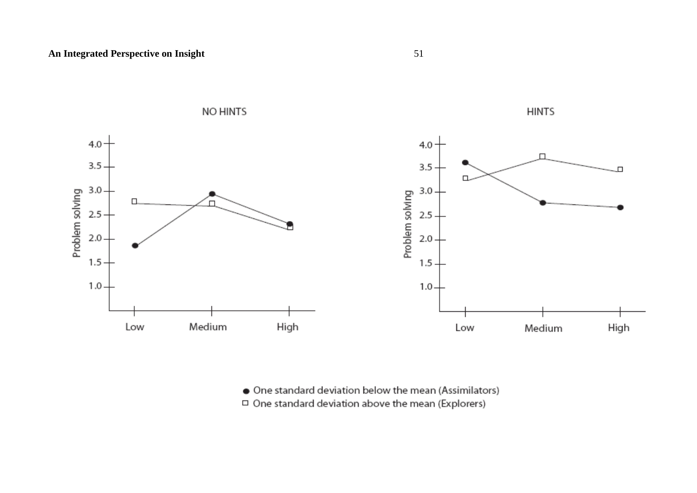

. One standard deviation below the mean (Assimilators) □ One standard deviation above the mean (Explorers)